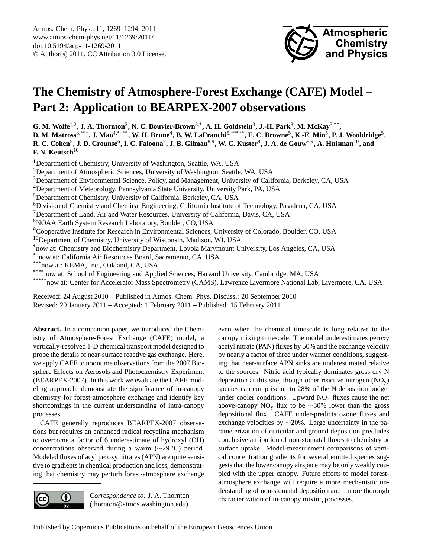

# <span id="page-0-0"></span>**The Chemistry of Atmosphere-Forest Exchange (CAFE) Model – Part 2: Application to BEARPEX-2007 observations**

 $G.$  M. Wolfe<sup>1,2</sup>, J. A. Thornton<sup>2</sup>, N. C. Bouvier-Brown<sup>3,\*</sup>, A. H. Goldstein<sup>3</sup>, J.-H. Park<sup>3</sup>, M. McKay<sup>3,\*\*</sup>,  ${\bf D.~M.~Matross}^{3,***}, {\bf J.~Mao}^{4,***}, {\bf W.~H.~Brune}^4, {\bf B.~W.~LaFranchi}^{5,***}, {\bf E.~C.~Brownie}^5, {\bf K.-E.~Min}^5, {\bf P.~J.~Woodridge}^5,$ **R. C. Cohen**<sup>5</sup> **, J. D. Crounse**<sup>6</sup> **, I. C. Faloona**<sup>7</sup> **, J. B. Gilman**8,9**, W. C. Kuster**<sup>8</sup> **, J. A. de Gouw**8,9**, A. Huisman**10**, and F. N. Keutsch**<sup>10</sup>

<sup>1</sup>Department of Chemistry, University of Washington, Seattle, WA, USA

<sup>2</sup>Department of Atmospheric Sciences, University of Washington, Seattle, WA, USA

<sup>3</sup>Department of Environmental Science, Policy, and Management, University of California, Berkeley, CA, USA

<sup>4</sup>Department of Meteorology, Pennsylvania State University, University Park, PA, USA

<sup>5</sup>Department of Chemistry, University of California, Berkeley, CA, USA

<sup>6</sup>Division of Chemistry and Chemical Engineering, California Institute of Technology, Pasadena, CA, USA

<sup>7</sup>Department of Land, Air and Water Resources, University of California, Davis, CA, USA

<sup>8</sup>NOAA Earth System Research Laboratory, Boulder, CO, USA

<sup>9</sup>Cooperative Institute for Research in Environmental Sciences, University of Colorado, Boulder, CO, USA

<sup>10</sup>Department of Chemistry, University of Wisconsin, Madison, WI, USA

\*now at: Chemistry and Biochemistry Department, Loyola Marymount University, Los Angeles, CA, USA

\*\*now at: California Air Resources Board, Sacramento, CA, USA

\*\*\*now at: KEMA, Inc., Oakland, CA, USA

\*\*\*\*\* now at: School of Engineering and Applied Sciences, Harvard University, Cambridge, MA, USA

\*\*\*\*\*\* now at: Center for Accelerator Mass Spectrometry (CAMS), Lawrence Livermore National Lab, Livermore, CA, USA

Received: 24 August 2010 – Published in Atmos. Chem. Phys. Discuss.: 20 September 2010 Revised: 29 January 2011 – Accepted: 1 February 2011 – Published: 15 February 2011

**Abstract.** In a companion paper, we introduced the Chemistry of Atmosphere-Forest Exchange (CAFE) model, a vertically-resolved 1-D chemical transport model designed to probe the details of near-surface reactive gas exchange. Here, we apply CAFE to noontime observations from the 2007 Biosphere Effects on Aerosols and Photochemistry Experiment (BEARPEX-2007). In this work we evaluate the CAFE modeling approach, demonstrate the significance of in-canopy chemistry for forest-atmosphere exchange and identify key shortcomings in the current understanding of intra-canopy processes.

CAFE generally reproduces BEARPEX-2007 observations but requires an enhanced radical recycling mechanism to overcome a factor of 6 underestimate of hydroxyl (OH) concentrations observed during a warm (∼29 ◦C) period. Modeled fluxes of acyl peroxy nitrates (APN) are quite sensitive to gradients in chemical production and loss, demonstrating that chemistry may perturb forest-atmosphere exchange



*Correspondence to:* J. A. Thornton (thornton@atmos.washington.edu)

even when the chemical timescale is long relative to the canopy mixing timescale. The model underestimates peroxy acetyl nitrate (PAN) fluxes by 50% and the exchange velocity by nearly a factor of three under warmer conditions, suggesting that near-surface APN sinks are underestimated relative to the sources. Nitric acid typically dominates gross dry N deposition at this site, though other reactive nitrogen  $(NO<sub>v</sub>)$ species can comprise up to 28% of the N deposition budget under cooler conditions. Upward  $NO<sub>2</sub>$  fluxes cause the net above-canopy NO<sub>y</sub> flux to be ∼30% lower than the gross depositional flux. CAFE under-predicts ozone fluxes and exchange velocities by ∼20%. Large uncertainty in the parameterization of cuticular and ground deposition precludes conclusive attribution of non-stomatal fluxes to chemistry or surface uptake. Model-measurement comparisons of vertical concentration gradients for several emitted species suggests that the lower canopy airspace may be only weakly coupled with the upper canopy. Future efforts to model forestatmosphere exchange will require a more mechanistic understanding of non-stomatal deposition and a more thorough characterization of in-canopy mixing processes.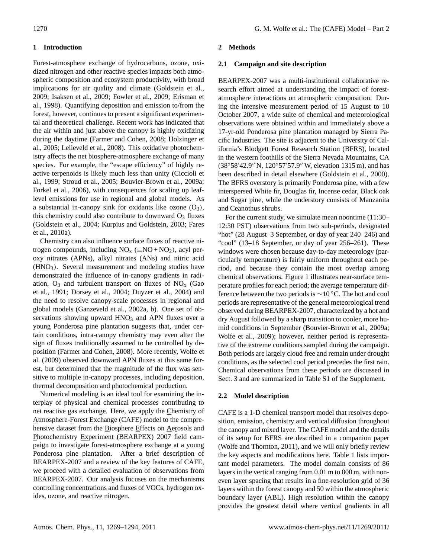Forest-atmosphere exchange of hydrocarbons, ozone, oxidized nitrogen and other reactive species impacts both atmospheric composition and ecosystem productivity, with broad implications for air quality and climate (Goldstein et al., 2009; Isaksen et al., 2009; Fowler et al., 2009; Erisman et al., 1998). Quantifying deposition and emission to/from the forest, however, continues to present a significant experimental and theoretical challenge. Recent work has indicated that the air within and just above the canopy is highly oxidizing during the daytime (Farmer and Cohen, 2008; Holzinger et al., 2005; Lelieveld et al., 2008). This oxidative photochemistry affects the net biosphere-atmosphere exchange of many species. For example, the "escape efficiency" of highly reactive terpenoids is likely much less than unity (Ciccioli et al., 1999; Stroud et al., 2005; Bouvier-Brown et al., 2009a; Forkel et al., 2006), with consequences for scaling up leaflevel emissions for use in regional and global models. As a substantial in-canopy sink for oxidants like ozone  $(O_3)$ , this chemistry could also contribute to downward  $O_3$  fluxes (Goldstein et al., 2004; Kurpius and Goldstein, 2003; Fares et al., 2010a).

Chemistry can also influence surface fluxes of reactive nitrogen compounds, including  $NO<sub>x</sub> (= NO + NO<sub>2</sub>)$ , acyl peroxy nitrates (APNs), alkyl nitrates (ANs) and nitric acid  $(HNO<sub>3</sub>)$ . Several measurement and modeling studies have demonstrated the influence of in-canopy gradients in radiation,  $O_3$  and turbulent transport on fluxes of  $NO<sub>x</sub>$  (Gao et al., 1991; Dorsey et al., 2004; Duyzer et al., 2004) and the need to resolve canopy-scale processes in regional and global models (Ganzeveld et al., 2002a, b). One set of observations showing upward  $HNO<sub>3</sub>$  and APN fluxes over a young Ponderosa pine plantation suggests that, under certain conditions, intra-canopy chemistry may even alter the sign of fluxes traditionally assumed to be controlled by deposition (Farmer and Cohen, 2008). More recently, Wolfe et al. (2009) observed downward APN fluxes at this same forest, but determined that the magnitude of the flux was sensitive to multiple in-canopy processes, including deposition, thermal decomposition and photochemical production.

Numerical modeling is an ideal tool for examining the interplay of physical and chemical processes contributing to net reactive gas exchange. Here, we apply the Chemistry of Atmosphere-Forest Exchange (CAFE) model to the comprehensive dataset from the Biosphere Effects on Aerosols and Photochemistry Experiment (BEARPEX) 2007 field campaign to investigate forest-atmosphere exchange at a young Ponderosa pine plantation. After a brief description of BEARPEX-2007 and a review of the key features of CAFE, we proceed with a detailed evaluation of observations from BEARPEX-2007. Our analysis focuses on the mechanisms controlling concentrations and fluxes of VOCs, hydrogen oxides, ozone, and reactive nitrogen.

## **2 Methods**

# **2.1 Campaign and site description**

BEARPEX-2007 was a multi-institutional collaborative research effort aimed at understanding the impact of forestatmosphere interactions on atmospheric composition. During the intensive measurement period of 15 August to 10 October 2007, a wide suite of chemical and meteorological observations were obtained within and immediately above a 17-yr-old Ponderosa pine plantation managed by Sierra Pacific Industries. The site is adjacent to the University of California's Blodgett Forest Research Station (BFRS), located in the western foothills of the Sierra Nevada Mountains, CA  $(38°58'42.9'' N, 120°57'57.9'' W, elevation 1315 m)$ , and has been described in detail elsewhere (Goldstein et al., 2000). The BFRS overstory is primarily Ponderosa pine, with a few interspersed White fir, Douglas fir, Incense cedar, Black oak and Sugar pine, while the understory consists of Manzanita and Ceanothus shrubs.

For the current study, we simulate mean noontime (11:30– 12:30 PST) observations from two sub-periods, designated "hot" (28 August–3 September, or day of year 240–246) and "cool" (13–18 September, or day of year 256–261). These windows were chosen because day-to-day meteorology (particularly temperature) is fairly uniform throughout each period, and because they contain the most overlap among chemical observations. Figure 1 illustrates near-surface temperature profiles for each period; the average temperature difference between the two periods is ∼10 ◦C. The hot and cool periods are representative of the general meteorological trend observed during BEARPEX-2007, characterized by a hot and dry August followed by a sharp transition to cooler, more humid conditions in September (Bouvier-Brown et al., 2009a; Wolfe et al., 2009); however, neither period is representative of the extreme conditions sampled during the campaign. Both periods are largely cloud free and remain under drought conditions, as the selected cool period precedes the first rain. Chemical observations from these periods are discussed in Sect. 3 and are summarized in Table S1 of the Supplement.

# **2.2 Model description**

CAFE is a 1-D chemical transport model that resolves deposition, emission, chemistry and vertical diffusion throughout the canopy and mixed layer. The CAFE model and the details of its setup for BFRS are described in a companion paper (Wolfe and Thornton, 2011), and we will only briefly review the key aspects and modifications here. Table 1 lists important model parameters. The model domain consists of 86 layers in the vertical ranging from 0.01 m to 800 m, with noneven layer spacing that results in a fine-resolution grid of 36 layers within the forest canopy and 50 within the atmospheric boundary layer (ABL). High resolution within the canopy provides the greatest detail where vertical gradients in all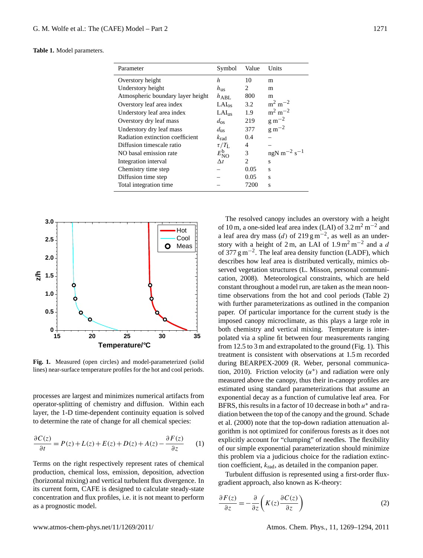| Parameter                         | Symbol                     | Value                         | Units               |
|-----------------------------------|----------------------------|-------------------------------|---------------------|
| Overstory height                  | h                          | 10                            | m                   |
| Understory height                 | $h_{\rm us}$               | 2                             | m                   |
| Atmospheric boundary layer height | $h_{ABL}$                  | 800                           | m                   |
| Overstory leaf area index         | $LAI_{OS}$                 | 3.2                           | $\rm m^2\,m^{-2}$   |
| Understory leaf area index        | LAI <sub>us</sub>          | 1.9                           | $\rm m^2\,m^{-2}$   |
| Overstory dry leaf mass           | $d_{\alpha s}$             | 219                           | $\rm g~m^{-2}$      |
| Understory dry leaf mass          | $d_{\text{us}}$            | 377                           | $\rm g~m^{-2}$      |
| Radiation extinction coefficient  | $k_{\rm rad}$              | 0.4                           |                     |
| Diffusion timescale ratio         | $\tau/T_{\rm L}$           | 4                             |                     |
| NO basal emission rate            | $E_{\text{NO}}^{\text{b}}$ | 3                             | $ngN m^{-2} s^{-1}$ |
| Integration interval              | $\Delta t$                 | $\mathfrak{D}_{\mathfrak{p}}$ | S                   |
| Chemistry time step               |                            | 0.05                          | S                   |
| Diffusion time step               |                            | 0.05                          | S                   |
| Total integration time.           |                            | 7200                          | S                   |



**Fig. 1.** Measured (open circles) and model-parameterized (solid lines) near-surface temperature profiles for the hot and cool periods.

processes are largest and minimizes numerical artifacts from operator-splitting of chemistry and diffusion. Within each layer, the 1-D time-dependent continuity equation is solved to determine the rate of change for all chemical species:

$$
\frac{\partial C(z)}{\partial t} = P(z) + L(z) + E(z) + D(z) + A(z) - \frac{\partial F(z)}{\partial z}
$$
 (1)

Terms on the right respectively represent rates of chemical production, chemical loss, emission, deposition, advection (horizontal mixing) and vertical turbulent flux divergence. In its current form, CAFE is designed to calculate steady-state concentration and flux profiles, i.e. it is not meant to perform as a prognostic model.

The resolved canopy includes an overstory with a height of 10 m, a one-sided leaf area index (LAI) of  $3.2 \text{ m}^2 \text{ m}^{-2}$  and a leaf area dry mass (d) of 219 g m<sup>-2</sup>, as well as an understory with a height of 2 m, an LAI of  $1.9 \text{ m}^2 \text{ m}^{-2}$  and a d of 377 g m−<sup>2</sup> . The leaf area density function (LADF), which describes how leaf area is distributed vertically, mimics observed vegetation structures (L. Misson, personal communication, 2008). Meteorological constraints, which are held constant throughout a model run, are taken as the mean noontime observations from the hot and cool periods (Table 2) with further parameterizations as outlined in the companion paper. Of particular importance for the current study is the imposed canopy microclimate, as this plays a large role in both chemistry and vertical mixing. Temperature is interpolated via a spline fit between four measurements ranging from 12.5 to 3 m and extrapolated to the ground (Fig. 1). This treatment is consistent with observations at 1.5 m recorded during BEARPEX-2009 (R. Weber, personal communication, 2010). Friction velocity  $(u^*)$  and radiation were only measured above the canopy, thus their in-canopy profiles are estimated using standard parameterizations that assume an exponential decay as a function of cumulative leaf area. For BFRS, this results in a factor of 10 decrease in both  $u^*$  and radiation between the top of the canopy and the ground. Schade et al. (2000) note that the top-down radiation attenuation algorithm is not optimized for coniferous forests as it does not explicitly account for "clumping" of needles. The flexibility of our simple exponential parameterization should minimize this problem via a judicious choice for the radiation extinction coefficient, krad, as detailed in the companion paper.

Turbulent diffusion is represented using a first-order fluxgradient approach, also known as K-theory:

$$
\frac{\partial F(z)}{\partial z} = -\frac{\partial}{\partial z} \left( K(z) \frac{\partial C(z)}{\partial z} \right)
$$
 (2)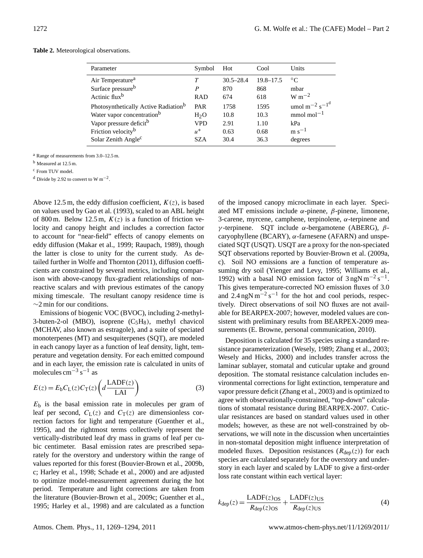| Parameter                                        | Symbol           | Hot           | Cool          | Units                                                           |
|--------------------------------------------------|------------------|---------------|---------------|-----------------------------------------------------------------|
| Air Temperature <sup>a</sup>                     |                  | $30.5 - 28.4$ | $19.8 - 17.5$ | $^{\circ}C$                                                     |
| Surface pressure <sup>b</sup>                    | P                | 870           | 868           | mbar                                                            |
| Actinic flux <sup>b</sup>                        | <b>RAD</b>       | 674           | 618           | $\rm W~m^{-2}$                                                  |
| Photosynthetically Active Radiation <sup>b</sup> | <b>PAR</b>       | 1758          | 1595          | umol m <sup><math>-2</math></sup> s <sup><math>-1d</math></sup> |
| Water vapor concentration <sup>b</sup>           | H <sub>2</sub> O | 10.8          | 10.3          | $mmol$ mol $^{-1}$                                              |
| Vapor pressure deficit <sup>b</sup>              | <b>VPD</b>       | 2.91          | 1.10          | kPa                                                             |
| Friction velocity <sup>b</sup>                   | $u^*$            | 0.63          | 0.68          | $m s^{-1}$                                                      |
| Solar Zenith Angle <sup>c</sup>                  | SZA              | 30.4          | 36.3          | degrees                                                         |

**Table 2.** Meteorological observations.

<sup>a</sup> Range of measurements from 3.0–12.5 m.

<sup>b</sup> Measured at 12.5 m.

<sup>c</sup> From TUV model.

<sup>d</sup> Divide by 2.92 to convert to W m<sup>-2</sup>.

Above 12.5 m, the eddy diffusion coefficient,  $K(z)$ , is based on values used by Gao et al. (1993), scaled to an ABL height of 800 m. Below 12.5 m,  $K(z)$  is a function of friction velocity and canopy height and includes a correction factor to account for "near-field" effects of canopy elements on eddy diffusion (Makar et al., 1999; Raupach, 1989), though the latter is close to unity for the current study. As detailed further in Wolfe and Thornton (2011), diffusion coefficients are constrained by several metrics, including comparison with above-canopy flux-gradient relationships of nonreactive scalars and with previous estimates of the canopy mixing timescale. The resultant canopy residence time is  $\sim$ 2 min for our conditions.

Emissions of biogenic VOC (BVOC), including 2-methyl-3-buten-2-ol (MBO), isoprene  $(C_5H_8)$ , methyl chavicol (MCHAV, also known as estragole), and a suite of speciated monoterpenes (MT) and sesquiterpenes (SQT), are modeled in each canopy layer as a function of leaf density, light, temperature and vegetation density. For each emitted compound and in each layer, the emission rate is calculated in units of molecules cm<sup> $-3$ </sup> s<sup>-1</sup> as

$$
E(z) = EbCL(z)CT(z) \left( d \frac{\text{LADF}(z)}{\text{LAI}} \right)
$$
 (3)

 $E<sub>b</sub>$  is the basal emission rate in molecules per gram of leaf per second,  $C_{L}(z)$  and  $C_{T}(z)$  are dimensionless correction factors for light and temperature (Guenther et al., 1995), and the rightmost terms collectively represent the vertically-distributed leaf dry mass in grams of leaf per cubic centimeter. Basal emission rates are prescribed separately for the overstory and understory within the range of values reported for this forest (Bouvier-Brown et al., 2009b, c; Harley et al., 1998; Schade et al., 2000) and are adjusted to optimize model-measurement agreement during the hot period. Temperature and light corrections are taken from the literature (Bouvier-Brown et al., 2009c; Guenther et al., 1995; Harley et al., 1998) and are calculated as a function

of the imposed canopy microclimate in each layer. Speciated MT emissions include  $\alpha$ -pinene,  $\beta$ -pinene, limonene, 3-carene, myrcene, camphene, terpinolene,  $\alpha$ -terpinene and γ -terpinene. SQT include α-bergamotene (ABERG), βcaryophyllene (BCARY),  $\alpha$ -farnesene (AFARN) and unspeciated SQT (USQT). USQT are a proxy for the non-speciated SQT observations reported by Bouvier-Brown et al. (2009a, c). Soil NO emissions are a function of temperature assuming dry soil (Yienger and Levy, 1995; Williams et al., 1992) with a basal NO emission factor of  $3 \text{ ngN m}^{-2} \text{ s}^{-1}$ . This gives temperature-corrected NO emission fluxes of 3.0 and  $2.4$  ngN m<sup>-2</sup> s<sup>-1</sup> for the hot and cool periods, respectively. Direct observations of soil NO fluxes are not available for BEARPEX-2007; however, modeled values are consistent with preliminary results from BEARPEX-2009 measurements (E. Browne, personal communication, 2010).

Deposition is calculated for 35 species using a standard resistance parameterization (Wesely, 1989; Zhang et al., 2003; Wesely and Hicks, 2000) and includes transfer across the laminar sublayer, stomatal and cuticular uptake and ground deposition. The stomatal resistance calculation includes environmental corrections for light extinction, temperature and vapor pressure deficit (Zhang et al., 2003) and is optimized to agree with observationally-constrained, "top-down" calculations of stomatal resistance during BEARPEX-2007. Cuticular resistances are based on standard values used in other models; however, as these are not well-constrained by observations, we will note in the discussion when uncertainties in non-stomatal deposition might influence interpretation of modeled fluxes. Deposition resistances  $(R_{\text{dep}}(z))$  for each species are calculated separately for the overstory and understory in each layer and scaled by LADF to give a first-order loss rate constant within each vertical layer:

$$
k_{\rm dep}(z) = \frac{\rm LADF(z)_{OS}}{R_{\rm dep}(z)_{OS}} + \frac{\rm LADF(z)_{US}}{R_{\rm dep}(z)_{US}}\tag{4}
$$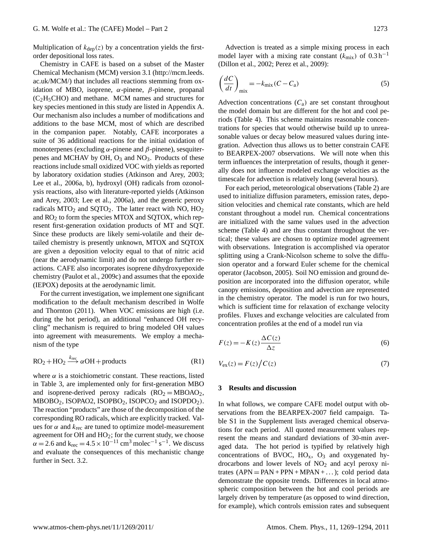Multiplication of  $k_{\text{dep}}(z)$  by a concentration yields the firstorder depositional loss rates.

Chemistry in CAFE is based on a subset of the Master Chemical Mechanism (MCM) version 3.1 [\(http://mcm.leeds.](http://mcm.leeds.ac.uk/MCM/) [ac.uk/MCM/\)](http://mcm.leeds.ac.uk/MCM/) that includes all reactions stemming from oxidation of MBO, isoprene,  $α$ -pinene,  $β$ -pinene, propanal  $(C_2H_5CHO)$  and methane. MCM names and structures for key species mentioned in this study are listed in Appendix A. Our mechanism also includes a number of modifications and additions to the base MCM, most of which are described in the companion paper. Notably, CAFE incorporates a suite of 36 additional reactions for the initial oxidation of monoterpenes (excluding  $\alpha$ -pinene and  $\beta$ -pinene), sesquiterpenes and MCHAV by OH,  $O_3$  and NO<sub>3</sub>. Products of these reactions include small oxidized VOC with yields as reported by laboratory oxidation studies (Atkinson and Arey, 2003; Lee et al., 2006a, b), hydroxyl (OH) radicals from ozonolysis reactions, also with literature-reported yields (Atkinson and Arey, 2003; Lee et al., 2006a), and the generic peroxy radicals  $MTO<sub>2</sub>$  and  $SQTO<sub>2</sub>$ . The latter react with NO,  $HO<sub>2</sub>$ and  $RO<sub>2</sub>$  to form the species MTOX and SQTOX, which represent first-generation oxidation products of MT and SQT. Since these products are likely semi-volatile and their detailed chemistry is presently unknown, MTOX and SQTOX are given a deposition velocity equal to that of nitric acid (near the aerodynamic limit) and do not undergo further reactions. CAFE also incorporates isoprene dihydroxyepoxide chemistry (Paulot et al., 2009c) and assumes that the epoxide (IEPOX) deposits at the aerodynamic limit.

For the current investigation, we implement one significant modification to the default mechanism described in Wolfe and Thornton (2011). When VOC emissions are high (i.e. during the hot period), an additional "enhanced OH recycling" mechanism is required to bring modeled OH values into agreement with measurements. We employ a mechanism of the type

$$
RO2 + HO2 \xrightarrow{k_{rec}} \alpha OH + products
$$
 (R1)

where  $\alpha$  is a stoichiometric constant. These reactions, listed in Table 3, are implemented only for first-generation MBO and isoprene-derived peroxy radicals  $(RO<sub>2</sub> = MBOO<sub>2</sub>$ ,  $MBOBO<sub>2</sub>$ , ISOPAO2, ISOPBO<sub>2</sub>, ISOPCO<sub>2</sub> and ISOPDO<sub>2</sub>). The reaction "products" are those of the decomposition of the corresponding RO radicals, which are explicitly tracked. Values for  $\alpha$  and  $k_{\text{rec}}$  are tuned to optimize model-measurement agreement for OH and HO2; for the current study, we choose  $\alpha = 2.6$  and  $k_{\text{rec}} = 4.5 \times 10^{-11} \text{ cm}^3 \text{ molec}^{-1} \text{ s}^{-1}$ . We discuss and evaluate the consequences of this mechanistic change further in Sect. 3.2.

Advection is treated as a simple mixing process in each model layer with a mixing rate constant  $(k_{\text{mix}})$  of  $0.3 h^{-1}$ (Dillon et al., 2002; Perez et al., 2009):

$$
\left(\frac{dC}{dt}\right)_{\text{mix}} = -k_{\text{mix}}(C - C_{\text{a}})
$$
\n(5)

Advection concentrations  $(C_a)$  are set constant throughout the model domain but are different for the hot and cool periods (Table 4). This scheme maintains reasonable concentrations for species that would otherwise build up to unreasonable values or decay below measured values during integration. Advection thus allows us to better constrain CAFE to BEARPEX-2007 observations. We will note when this term influences the interpretation of results, though it generally does not influence modeled exchange velocities as the timescale for advection is relatively long (several hours).

For each period, meteorological observations (Table 2) are used to initialize diffusion parameters, emission rates, deposition velocities and chemical rate constants, which are held constant throughout a model run. Chemical concentrations are initialized with the same values used in the advection scheme (Table 4) and are thus constant throughout the vertical; these values are chosen to optimize model agreement with observations. Integration is accomplished via operator splitting using a Crank-Nicolson scheme to solve the diffusion operator and a forward Euler scheme for the chemical operator (Jacobson, 2005). Soil NO emission and ground deposition are incorporated into the diffusion operator, while canopy emissions, deposition and advection are represented in the chemistry operator. The model is run for two hours, which is sufficient time for relaxation of exchange velocity profiles. Fluxes and exchange velocities are calculated from concentration profiles at the end of a model run via

$$
F(z) = -K(z)\frac{\Delta C(z)}{\Delta z}
$$
 (6)

$$
V_{\text{ex}}(z) = F(z) / C(z) \tag{7}
$$

#### **3 Results and discussion**

In what follows, we compare CAFE model output with observations from the BEARPEX-2007 field campaign. Table S1 in the Supplement lists averaged chemical observations for each period. All quoted measurement values represent the means and standard deviations of 30-min averaged data. The hot period is typified by relatively high concentrations of BVOC,  $HO_x$ ,  $O_3$  and oxygenated hydrocarbons and lower levels of  $NO<sub>2</sub>$  and acyl peroxy nitrates  $(APN = PAN + PPN + MPAN + ...)$ ; cold period data demonstrate the opposite trends. Differences in local atmospheric composition between the hot and cool periods are largely driven by temperature (as opposed to wind direction, for example), which controls emission rates and subsequent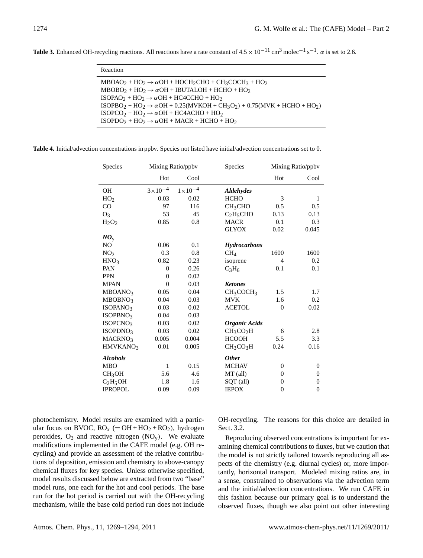**Table 3.** Enhanced OH-recycling reactions. All reactions have a rate constant of  $4.5 \times 10^{-11}$  cm<sup>3</sup> molec<sup>-1</sup> s<sup>-1</sup>.  $\alpha$  is set to 2.6.

| Reaction                                                                             |
|--------------------------------------------------------------------------------------|
| $MBOAO_2 + HO_2 \rightarrow \alpha OH + HOCH_2CHO + CH_3COCH_3 + HO_2$               |
| $MBOBO2 + HO2 \rightarrow \alpha OH + IBUTALOH + HCHO + HO2$                         |
| $ISOPAO2 + HO2 \rightarrow \alpha OH + HC4CCHO + HO2$                                |
| $ISOPBO2 + HO2 \rightarrow \alpha OH + 0.25(MVKOH + CH3O2) + 0.75(MVK + HCHO + HO2)$ |
| $ISOPCO2 + HO2 \rightarrow \alpha OH + HC4ACHO + HO2$                                |
| $ISOPDO2 + HO2 \rightarrow \alpha OH + MACR + HCHO + HO2$                            |

| Species                          | Mixing Ratio/ppbv  |                    | Species                           | Mixing Ratio/ppbv |                |
|----------------------------------|--------------------|--------------------|-----------------------------------|-------------------|----------------|
|                                  | Hot                | Cool               |                                   | Hot               | Cool           |
| OН                               | $3 \times 10^{-4}$ | $1 \times 10^{-4}$ | <b>Aldehydes</b>                  |                   |                |
| HO <sub>2</sub>                  | 0.03               | 0.02               | <b>HCHO</b>                       | 3                 | 1              |
| CO                               | 97                 | 116                | CH <sub>3</sub> CHO               | 0.5               | 0.5            |
| $O_3$                            | 53                 | 45                 | C <sub>2</sub> H <sub>5</sub> CHO | 0.13              | 0.13           |
| $H_2O_2$                         | 0.85               | 0.8                | <b>MACR</b>                       | 0.1               | 0.3            |
|                                  |                    |                    | <b>GLYOX</b>                      | 0.02              | 0.045          |
| $NO_{\rm V}$                     |                    |                    |                                   |                   |                |
| N <sub>O</sub>                   | 0.06               | 0.1                | <b>Hydrocarbons</b>               |                   |                |
| NO <sub>2</sub>                  | 0.3                | 0.8                | CH <sub>4</sub>                   | 1600              | 1600           |
| HNO <sub>3</sub>                 | 0.82               | 0.23               | isoprene                          | $\overline{4}$    | 0.2            |
| PAN                              | $\overline{0}$     | 0.26               | $C_3H_6$                          | 0.1               | 0.1            |
| <b>PPN</b>                       | $\overline{0}$     | 0.02               |                                   |                   |                |
| <b>MPAN</b>                      | $\theta$           | 0.03               | <b>Ketones</b>                    |                   |                |
| MBOANO <sub>3</sub>              | 0.05               | 0.04               | CH <sub>3</sub> COCH <sub>3</sub> | 1.5               | 1.7            |
| MBOBNO <sub>3</sub>              | 0.04               | 0.03               | <b>MVK</b>                        | 1.6               | 0.2            |
| ISOPANO <sub>3</sub>             | 0.03               | 0.02               | <b>ACETOL</b>                     | $\Omega$          | 0.02           |
| ISOPBNO <sub>3</sub>             | 0.04               | 0.03               |                                   |                   |                |
| ISOPCNO <sub>3</sub>             | 0.03               | 0.02               | Organic Acids                     |                   |                |
| ISOPDNO <sub>3</sub>             | 0.03               | 0.02               | CH <sub>3</sub> CO <sub>2</sub> H | 6                 | 2.8            |
| MACRNO <sub>3</sub>              | 0.005              | 0.004              | <b>HCOOH</b>                      | 5.5               | 3.3            |
| HMVKANO3                         | 0.01               | 0.005              | CH <sub>3</sub> CO <sub>3</sub> H | 0.24              | 0.16           |
| <b>Alcohols</b>                  |                    |                    | <b>Other</b>                      |                   |                |
| <b>MBO</b>                       | 1                  | 0.15               | <b>MCHAV</b>                      | $\Omega$          | $\overline{0}$ |
| CH <sub>3</sub> OH               | 5.6                | 4.6                | $MT$ (all)                        | $\overline{0}$    | $\overline{0}$ |
| C <sub>2</sub> H <sub>5</sub> OH | 1.8                | 1.6                | SQT (all)                         | $\overline{0}$    | $\overline{0}$ |
| <b>IPROPOL</b>                   | 0.09               | 0.09               | <b>IEPOX</b>                      | $\Omega$          | $\overline{0}$ |

photochemistry. Model results are examined with a particular focus on BVOC,  $RO<sub>x</sub> (= OH + HO<sub>2</sub> + RO<sub>2</sub>)$ , hydrogen peroxides,  $O_3$  and reactive nitrogen (NO<sub>v</sub>). We evaluate modifications implemented in the CAFE model (e.g. OH recycling) and provide an assessment of the relative contributions of deposition, emission and chemistry to above-canopy chemical fluxes for key species. Unless otherwise specified, model results discussed below are extracted from two "base" model runs, one each for the hot and cool periods. The base run for the hot period is carried out with the OH-recycling mechanism, while the base cold period run does not include OH-recycling. The reasons for this choice are detailed in Sect. 3.2.

Reproducing observed concentrations is important for examining chemical contributions to fluxes, but we caution that the model is not strictly tailored towards reproducing all aspects of the chemistry (e.g. diurnal cycles) or, more importantly, horizontal transport. Modeled mixing ratios are, in a sense, constrained to observations via the advection term and the initial/advection concentrations. We run CAFE in this fashion because our primary goal is to understand the observed fluxes, though we also point out other interesting

 $\overline{a}$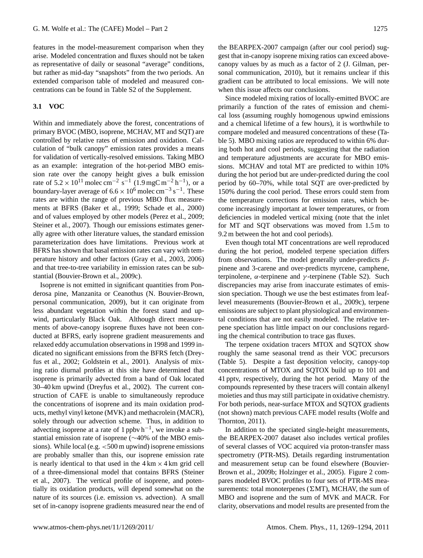features in the model-measurement comparison when they arise. Modeled concentration and fluxes should not be taken as representative of daily or seasonal "average" conditions, but rather as mid-day "snapshots" from the two periods. An extended comparison table of modeled and measured concentrations can be found in Table S2 of the Supplement.

# **3.1 VOC**

Within and immediately above the forest, concentrations of primary BVOC (MBO, isoprene, MCHAV, MT and SQT) are controlled by relative rates of emission and oxidation. Calculation of "bulk canopy" emission rates provides a means for validation of vertically-resolved emissions. Taking MBO as an example: integration of the hot-period MBO emission rate over the canopy height gives a bulk emission rate of  $5.2 \times 10^{11}$  molec cm<sup>-2</sup> s<sup>-1</sup> (1.9 mgC m<sup>-2</sup> h<sup>-1</sup>), or a boundary-layer average of  $6.6 \times 10^6$  molec cm<sup>-3</sup> s<sup>-1</sup>. These rates are within the range of previous MBO flux measurements at BFRS (Baker et al., 1999; Schade et al., 2000) and of values employed by other models (Perez et al., 2009; Steiner et al., 2007). Though our emissions estimates generally agree with other literature values, the standard emission parameterization does have limitations. Previous work at BFRS has shown that basal emission rates can vary with temperature history and other factors (Gray et al., 2003, 2006) and that tree-to-tree variability in emission rates can be substantial (Bouvier-Brown et al., 2009c).

Isoprene is not emitted in significant quantities from Ponderosa pine, Manzanita or Ceanothus (N. Bouvier-Brown, personal communication, 2009), but it can originate from less abundant vegetation within the forest stand and upwind, particularly Black Oak. Although direct measurements of above-canopy isoprene fluxes have not been conducted at BFRS, early isoprene gradient measurements and relaxed eddy accumulation observations in 1998 and 1999 indicated no significant emissions from the BFRS fetch (Dreyfus et al., 2002; Goldstein et al., 2001). Analysis of mixing ratio diurnal profiles at this site have determined that isoprene is primarily advected from a band of Oak located 30–40 km upwind (Dreyfus et al., 2002). The current construction of CAFE is unable to simultaneously reproduce the concentrations of isoprene and its main oxidation products, methyl vinyl ketone (MVK) and methacrolein (MACR), solely through our advection scheme. Thus, in addition to advecting isoprene at a rate of 1 ppbv  $h^{-1}$ , we invoke a substantial emission rate of isoprene (∼40% of the MBO emissions). While local (e.g. <500 m upwind) isoprene emissions are probably smaller than this, our isoprene emission rate is nearly identical to that used in the  $4 \text{ km} \times 4 \text{ km}$  grid cell of a three-dimensional model that contains BFRS (Steiner et al., 2007). The vertical profile of isoprene, and potentially its oxidation products, will depend somewhat on the nature of its sources (i.e. emission vs. advection). A small set of in-canopy isoprene gradients measured near the end of

when this issue affects our conclusions. Since modeled mixing ratios of locally-emitted BVOC are primarily a function of the rates of emission and chemical loss (assuming roughly homogenous upwind emissions and a chemical lifetime of a few hours), it is worthwhile to compare modeled and measured concentrations of these (Table 5). MBO mixing ratios are reproduced to within 6% during both hot and cool periods, suggesting that the radiation and temperature adjustments are accurate for MBO emissions. MCHAV and total MT are predicted to within 10% during the hot period but are under-predicted during the cool period by 60–70%, while total SQT are over-predicted by 150% during the cool period. These errors could stem from the temperature corrections for emission rates, which become increasingly important at lower temperatures, or from deficiencies in modeled vertical mixing (note that the inlet for MT and SQT observations was moved from 1.5 m to 9.2 m between the hot and cool periods).

Even though total MT concentrations are well reproduced during the hot period, modeled terpene speciation differs from observations. The model generally under-predicts  $\beta$ pinene and 3-carene and over-predicts myrcene, camphene, terpinolene, α-terpinene and γ -terpinene (Table S2). Such discrepancies may arise from inaccurate estimates of emission speciation. Though we use the best estimates from leaflevel measurements (Bouvier-Brown et al., 2009c), terpene emissions are subject to plant physiological and environmental conditions that are not easily modeled. The relative terpene speciation has little impact on our conclusions regarding the chemical contribution to trace gas fluxes.

The terpene oxidation tracers MTOX and SQTOX show roughly the same seasonal trend as their VOC precursors (Table 5). Despite a fast deposition velocity, canopy-top concentrations of MTOX and SQTOX build up to 101 and 41 pptv, respectively, during the hot period. Many of the compounds represented by these tracers will contain alkenyl moieties and thus may still participate in oxidative chemistry. For both periods, near-surface MTOX and SQTOX gradients (not shown) match previous CAFE model results (Wolfe and Thornton, 2011).

In addition to the speciated single-height measurements, the BEARPEX-2007 dataset also includes vertical profiles of several classes of VOC acquired via proton-transfer mass spectrometry (PTR-MS). Details regarding instrumentation and measurement setup can be found elsewhere (Bouvier-Brown et al., 2009b; Holzinger et al., 2005). Figure 2 compares modeled BVOC profiles to four sets of PTR-MS measurements: total monoterpenes ( $\Sigma$ MT), MCHAV, the sum of MBO and isoprene and the sum of MVK and MACR. For clarity, observations and model results are presented from the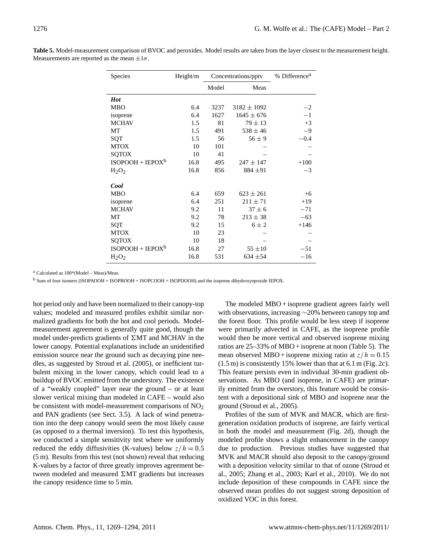| Species             | Height/m | Concentrations/pptv |                 | % Difference <sup>a</sup> |
|---------------------|----------|---------------------|-----------------|---------------------------|
|                     |          | Model               | Meas            |                           |
| <b>Hot</b>          |          |                     |                 |                           |
| <b>MBO</b>          | 6.4      | 3237                | $3182 \pm 1092$ | $-2$                      |
| isoprene            | 6.4      | 1627                | $1645 \pm 676$  | $-1$                      |
| <b>MCHAV</b>        | 1.5      | 81                  | $79 \pm 13$     | $+3$                      |
| МT                  | 1.5      | 491                 | $538 \pm 46$    | $-9$                      |
| SQT                 | 1.5      | 56                  | $56 \pm 9$      | $-0.4$                    |
| <b>MTOX</b>         | 10       | 101                 |                 |                           |
| <b>SQTOX</b>        | 10       | 41                  |                 |                           |
| $ISOPOOH + IEPOXb$  | 16.8     | 495                 | $247 \pm 147$   | $+100$                    |
| $H_2O_2$            | 16.8     | 856                 | 884 ±91         | $-3$                      |
| Cool                |          |                     |                 |                           |
| <b>MBO</b>          | 6.4      | 659                 | $623 \pm 261$   | $+6$                      |
| isoprene            | 6.4      | 251                 | $211 \pm 71$    | $+19$                     |
| <b>MCHAV</b>        | 9.2      | 11                  | $37 \pm 6$      | $-71$                     |
| МT                  | 9.2      | 78                  | $213 \pm 38$    | $-63$                     |
| SQT                 | 9.2      | 15                  | $6 \pm 2$       | $+146$                    |
| <b>MTOX</b>         | 10       | 23                  |                 |                           |
| SQTOX               | 10       | 18                  |                 |                           |
| $ISOPOOH + IEPOX^b$ | 16.8     | 27                  | $55 \pm 10$     | $-51$                     |
| $H_2O_2$            | 16.8     | 531                 | $634 + 54$      | $-16$                     |

**Table 5.** Model-measurement comparison of BVOC and peroxides. Model results are taken from the layer closest to the measurement height. Measurements are reported as the mean  $\pm 1\sigma$ .

<sup>a</sup> Calculated as 100\*(Model – Meas)/Meas.

<sup>b</sup> Sum of four isomers (ISOPAOOH + ISOPBOOH + ISOPCOOH + ISOPDOOH) and the isoprene dihydroxyepoxide IEPOX.

hot period only and have been normalized to their canopy-top values; modeled and measured profiles exhibit similar normalized gradients for both the hot and cool periods. Modelmeasurement agreement is generally quite good, though the model under-predicts gradients of  $\Sigma MT$  and MCHAV in the lower canopy. Potential explanations include an unidentified emission source near the ground such as decaying pine needles, as suggested by Stroud et al. (2005), or inefficient turbulent mixing in the lower canopy, which could lead to a buildup of BVOC emitted from the understory. The existence of a "weakly coupled" layer near the ground – or at least slower vertical mixing than modeled in CAFE – would also be consistent with model-measurement comparisons of  $NO<sub>2</sub>$ and PAN gradients (see Sect. 3.5). A lack of wind penetration into the deep canopy would seem the most likely cause (as opposed to a thermal inversion). To test this hypothesis, we conducted a simple sensitivity test where we uniformly reduced the eddy diffusivities (K-values) below  $z/h = 0.5$ (5 m). Results from this test (not shown) reveal that reducing K-values by a factor of three greatly improves agreement between modeled and measured  $\Sigma$ MT gradients but increases the canopy residence time to 5 min.

The modeled MBO + isoprene gradient agrees fairly well with observations, increasing ∼20% between canopy top and the forest floor. This profile would be less steep if isoprene were primarily advected in CAFE, as the isoprene profile would then be more vertical and observed isoprene mixing ratios are 25–33% of MBO + isoprene at noon (Table 5). The mean observed MBO + isoprene mixing ratio at  $z/h = 0.15$ (1.5 m) is consistently 15% lower than that at 6.1 m (Fig. 2c). This feature persists even in individual 30-min gradient observations. As MBO (and isoprene, in CAFE) are primarily emitted from the overstory, this feature would be consistent with a depositional sink of MBO and isoprene near the ground (Stroud et al., 2005).

Profiles of the sum of MVK and MACR, which are firstgeneration oxidation products of isoprene, are fairly vertical in both the model and measurement (Fig. 2d), though the modeled profile shows a slight enhancement in the canopy due to production. Previous studies have suggested that MVK and MACR should also deposit to the canopy/ground with a deposition velocity similar to that of ozone (Stroud et al., 2005; Zhang et al., 2003; Karl et al., 2010). We do not include deposition of these compounds in CAFE since the observed mean profiles do not suggest strong deposition of oxidized VOC in this forest.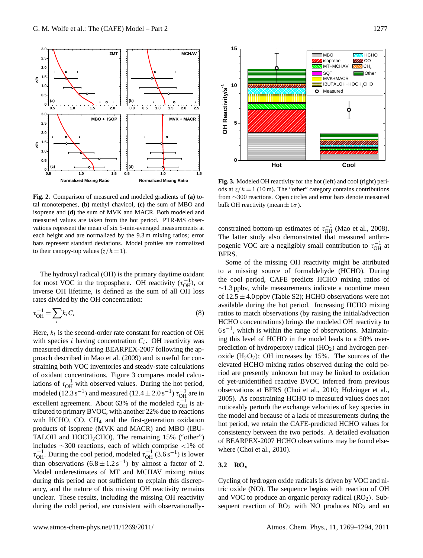

**Fig. 2.** Comparison of measured and modeled gradients of **(a)** total monoterpenes, **(b)** methyl chavicol, **(c)** the sum of MBO and isoprene and **(d)** the sum of MVK and MACR. Both modeled and measured values are taken from the hot period. PTR-MS observations represent the mean of six 5-min-averaged measurements at each height and are normalized by the 9.3 m mixing ratios; error bars represent standard deviations. Model profiles are normalized to their can<br>opy-top values  $(z/h = 1)$ .

The hydroxyl radical (OH) is the primary daytime oxidant for most VOC in the troposphere. OH reactivity  $(\tau_{OH}^{-1})$ , or inverse OH lifetime, is defined as the sum of all OH loss rates divided by the OH concentration:

$$
\tau_{\text{OH}}^{-1} = \sum_{i} k_i C_i \tag{8}
$$

Here,  $k_i$  is the second-order rate constant for reaction of OH with species *i* having concentration  $C_i$ . OH reactivity was measured directly during BEARPEX-2007 following the approach described in Mao et al. (2009) and is useful for constraining both VOC inventories and steady-state calculations of oxidant concentrations. Figure 3 compares model calculations of  $\tau_{OH}^{-1}$  with observed values. During the hot period, modeled (12.3 s<sup>-1</sup>) and measured (12.4 ± 2.0 s<sup>-1</sup>)  $\tau_{OH}^{-1}$  are in excellent agreement. About 63% of the modeled  $\tau_{OH}^{-1}$  is attributed to primary BVOC, with another 22% due to reactions with HCHO, CO, CH<sub>4</sub> and the first-generation oxidation products of isoprene (MVK and MACR) and MBO (IBU-TALOH and  $HOCH_2CHO$ ). The remaining 15% ("other") includes ∼300 reactions, each of which comprise <1% of  $\tau_{\text{OH}}^{-1}$ . During the cool period, modeled  $\tau_{\text{OH}}^{-1}$  (3.6 s<sup>-1</sup>) is lower than observations  $(6.8 \pm 1.2 \text{ s}^{-1})$  by almost a factor of 2. Model underestimates of MT and MCHAV mixing ratios during this period are not sufficient to explain this discrepancy, and the nature of this missing OH reactivity remains unclear. These results, including the missing OH reactivity during the cold period, are consistent with observationally-



**Fig. 3.** Modeled OH reactivity for the hot (left) and cool (right) periods at  $z/h = 1$  (10 m). The "other" category contains contributions from ∼300 reactions. Open circles and error bars denote measured bulk OH reactivity (mean  $\pm 1\sigma$ ).

constrained bottom-up estimates of  $\tau_{OH}^{-1}$  (Mao et al., 2008). The latter study also demonstrated that measured anthropogenic VOC are a negligibly small contribution to  $\tau_{OH}^{-1}$  at BFRS.

Some of the missing OH reactivity might be attributed to a missing source of formaldehyde (HCHO). During the cool period, CAFE predicts HCHO mixing ratios of  $∼1.3$  ppbv, while measurements indicate a noontime mean of  $12.5 \pm 4.0$  ppbv (Table S2); HCHO observations were not available during the hot period. Increasing HCHO mixing ratios to match observations (by raising the initial/advection HCHO concentrations) brings the modeled OH reactivity to 6 s−<sup>1</sup> , which is within the range of observations. Maintaining this level of HCHO in the model leads to a 50% overprediction of hydroperoxy radical  $(HO<sub>2</sub>)$  and hydrogen peroxide  $(H_2O_2)$ ; OH increases by 15%. The sources of the elevated HCHO mixing ratios observed during the cold period are presently unknown but may be linked to oxidation of yet-unidentified reactive BVOC inferred from previous observations at BFRS (Choi et al., 2010; Holzinger et al., 2005). As constraining HCHO to measured values does not noticeably perturb the exchange velocities of key species in the model and because of a lack of measurements during the hot period, we retain the CAFE-predicted HCHO values for consistency between the two periods. A detailed evaluation of BEARPEX-2007 HCHO observations may be found elsewhere (Choi et al., 2010).

## **3.2 RO<sup>x</sup>**

Cycling of hydrogen oxide radicals is driven by VOC and nitric oxide (NO). The sequence begins with reaction of OH and VOC to produce an organic peroxy radical  $(RO<sub>2</sub>)$ . Subsequent reaction of  $RO<sub>2</sub>$  with NO produces  $NO<sub>2</sub>$  and an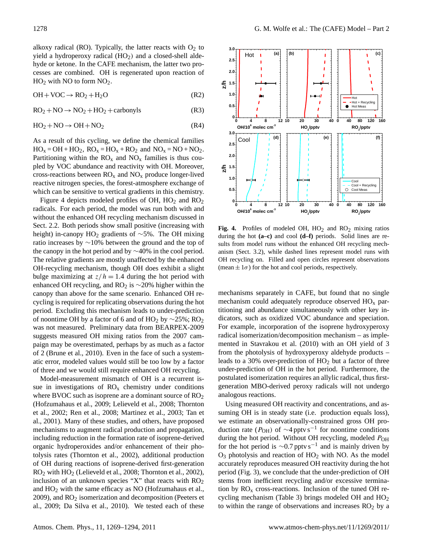alkoxy radical (RO). Typically, the latter reacts with  $O<sub>2</sub>$  to yield a hydroperoxy radical  $(HO<sub>2</sub>)$  and a closed-shell aldehyde or ketone. In the CAFE mechanism, the latter two processes are combined. OH is regenerated upon reaction of  $HO<sub>2</sub>$  with NO to form NO<sub>2</sub>.

$$
OH + VOC \rightarrow RO_2 + H_2O
$$
 (R2)

 $RO<sub>2</sub> + NO \rightarrow NO<sub>2</sub> + HO<sub>2</sub> + carbonyls$  (R3)

$$
HO_2 + NO \rightarrow OH + NO_2 \tag{R4}
$$

As a result of this cycling, we define the chemical families  $HO_x = OH + HO_2$ ,  $RO_x = HO_x + RO_2$  and  $NO_x = NO + NO_2$ . Partitioning within the  $RO_x$  and  $NO_x$  families is thus coupled by VOC abundance and reactivity with OH. Moreover, cross-reactions between  $RO_x$  and  $NO_x$  produce longer-lived reactive nitrogen species, the forest-atmosphere exchange of which can be sensitive to vertical gradients in this chemistry.

Figure 4 depicts modeled profiles of OH,  $HO<sub>2</sub>$  and  $RO<sub>2</sub>$ radicals. For each period, the model was run both with and without the enhanced OH recycling mechanism discussed in Sect. 2.2. Both periods show small positive (increasing with height) in-canopy HO<sub>2</sub> gradients of ∼5%. The OH mixing ratio increases by ∼10% between the ground and the top of the canopy in the hot period and by ∼40% in the cool period. The relative gradients are mostly unaffected by the enhanced OH-recycling mechanism, though OH does exhibit a slight bulge maximizing at  $z/h = 1.4$  during the hot period with enhanced OH recycling, and RO<sub>2</sub> is  $\sim$ 20% higher within the canopy than above for the same scenario. Enhanced OH recycling is required for replicating observations during the hot period. Excluding this mechanism leads to under-prediction of noontime OH by a factor of 6 and of HO<sub>2</sub> by  $\sim$ 25%; RO<sub>2</sub> was not measured. Preliminary data from BEARPEX-2009 suggests measured OH mixing ratios from the 2007 campaign may be overestimated, perhaps by as much as a factor of 2 (Brune et al., 2010). Even in the face of such a systematic error, modeled values would still be too low by a factor of three and we would still require enhanced OH recycling.

Model-measurement mismatch of OH is a recurrent issue in investigations of  $RO<sub>x</sub>$  chemistry under conditions where BVOC such as isoprene are a dominant source of  $RO<sub>2</sub>$ (Hofzumahaus et al., 2009; Lelieveld et al., 2008; Thornton et al., 2002; Ren et al., 2008; Martinez et al., 2003; Tan et al., 2001). Many of these studies, and others, have proposed mechanisms to augment radical production and propagation, including reduction in the formation rate of isoprene-derived organic hydroperoxides and/or enhancement of their photolysis rates (Thornton et al., 2002), additional production of OH during reactions of isoprene-derived first-generation RO<sup>2</sup> with HO<sup>2</sup> (Lelieveld et al., 2008; Thornton et al., 2002), inclusion of an unknown species "X" that reacts with  $RO<sub>2</sub>$ and  $HO<sub>2</sub>$  with the same efficacy as NO (Hofzumahaus et al.,  $2009$ ), and  $RO<sub>2</sub>$  isomerization and decomposition (Peeters et al., 2009; Da Silva et al., 2010). We tested each of these



**Fig. 4.** Profiles of modeled OH,  $HO_2$  and  $RO_2$  mixing ratios during the hot **(a–c)** and cool **(d–f)** periods. Solid lines are results from model runs without the enhanced OH recycling mechanism (Sect. 3.2), while dashed lines represent model runs with OH recycling on. Filled and open circles represent observations (mean  $\pm 1\sigma$ ) for the hot and cool periods, respectively.

mechanisms separately in CAFE, but found that no single mechanism could adequately reproduce observed  $HO<sub>x</sub>$  partitioning and abundance simultaneously with other key indicators, such as oxidized VOC abundance and speciation. For example, incorporation of the isoprene hydroxyperoxy radical isomerization/decomposition mechanism – as implemented in Stavrakou et al. (2010) with an OH yield of 3 from the photolysis of hydroxyperoxy aldehyde products – leads to a 30% over-prediction of  $HO<sub>2</sub>$  but a factor of three under-prediction of OH in the hot period. Furthermore, the postulated isomerization requires an allylic radical, thus firstgeneration MBO-derived peroxy radicals will not undergo analogous reactions.

Using measured OH reactivity and concentrations, and assuming OH is in steady state (i.e. production equals loss), we estimate an observationally-constrained gross OH production rate ( $P_{OH}$ ) of  $\sim$ 4 pptv s<sup>-1</sup> for noontime conditions during the hot period. Without OH recycling, modeled  $P_{\text{OH}}$ for the hot period is  $\sim$ 0.7 pptv s<sup>-1</sup> and is mainly driven by  $O_3$  photolysis and reaction of  $HO_2$  with NO. As the model accurately reproduces measured OH reactivity during the hot period (Fig. 3), we conclude that the under-prediction of OH stems from inefficient recycling and/or excessive termination by  $\text{RO}_x$  cross-reactions. Inclusion of the tuned OH recycling mechanism (Table 3) brings modeled OH and HO<sup>2</sup> to within the range of observations and increases  $RO<sub>2</sub>$  by a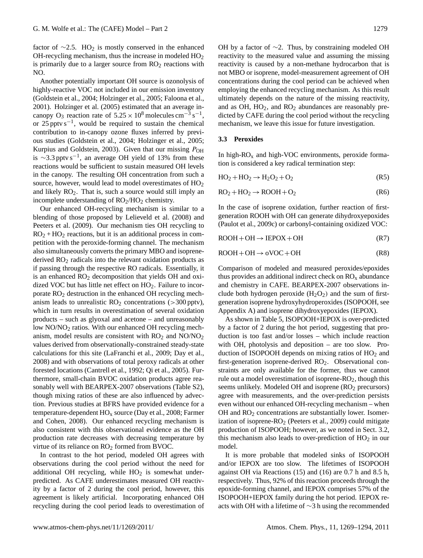factor of  $\sim$ 2.5. HO<sub>2</sub> is mostly conserved in the enhanced OH-recycling mechanism, thus the increase in modeled  $HO<sub>2</sub>$ is primarily due to a larger source from  $RO<sub>2</sub>$  reactions with NO.

Another potentially important OH source is ozonolysis of highly-reactive VOC not included in our emission inventory (Goldstein et al., 2004; Holzinger et al., 2005; Faloona et al., 2001). Holzinger et al. (2005) estimated that an average incanopy O<sub>3</sub> reaction rate of  $5.25 \times 10^8$  molecules cm<sup>-3</sup> s<sup>-1</sup>, or  $25$  pptv s<sup>-1</sup>, would be required to sustain the chemical contribution to in-canopy ozone fluxes inferred by previous studies (Goldstein et al., 2004; Holzinger et al., 2005; Kurpius and Goldstein, 2003). Given that our missing  $P_{OH}$ is  $\sim$ 3.3 pptv s<sup>-1</sup>, an average OH yield of 13% from these reactions would be sufficient to sustain measured OH levels in the canopy. The resulting OH concentration from such a source, however, would lead to model overestimates of  $HO<sub>2</sub>$ and likely  $RO<sub>2</sub>$ . That is, such a source would still imply an incomplete understanding of  $RO<sub>2</sub>/HO<sub>2</sub>$  chemistry.

Our enhanced OH-recycling mechanism is similar to a blending of those proposed by Lelieveld et al. (2008) and Peeters et al. (2009). Our mechanism ties OH recycling to  $RO<sub>2</sub> + HO<sub>2</sub>$  reactions, but it is an additional process in competition with the peroxide-forming channel. The mechanism also simultaneously converts the primary MBO and isoprenederived  $RO<sub>2</sub>$  radicals into the relevant oxidation products as if passing through the respective RO radicals. Essentially, it is an enhanced  $RO<sub>2</sub>$  decomposition that yields OH and oxidized VOC but has little net effect on  $HO<sub>2</sub>$ . Failure to incorporate  $RO<sub>2</sub>$  destruction in the enhanced OH recycling mechanism leads to unrealistic  $RO<sub>2</sub>$  concentrations (>300 pptv), which in turn results in overestimation of several oxidation products – such as glyoxal and acetone – and unreasonably low NO/NO<sup>2</sup> ratios. With our enhanced OH recycling mechanism, model results are consistent with  $RO<sub>2</sub>$  and  $NO/NO<sub>2</sub>$ values derived from observationally-constrained steady-state calculations for this site (LaFranchi et al., 2009; Day et al., 2008) and with observations of total peroxy radicals at other forested locations (Cantrell et al., 1992; Qi et al., 2005). Furthermore, small-chain BVOC oxidation products agree reasonably well with BEARPEX-2007 observations (Table S2), though mixing ratios of these are also influenced by advection. Previous studies at BFRS have provided evidence for a temperature-dependent  $HO_x$  source (Day et al., 2008; Farmer and Cohen, 2008). Our enhanced recycling mechanism is also consistent with this observational evidence as the OH production rate decreases with decreasing temperature by virtue of its reliance on  $RO<sub>2</sub>$  formed from BVOC.

In contrast to the hot period, modeled OH agrees with observations during the cool period without the need for additional OH recycling, while  $HO<sub>2</sub>$  is somewhat underpredicted. As CAFE underestimates measured OH reactivity by a factor of 2 during the cool period, however, this agreement is likely artificial. Incorporating enhanced OH recycling during the cool period leads to overestimation of OH by a factor of ∼2. Thus, by constraining modeled OH reactivity to the measured value and assuming the missing reactivity is caused by a non-methane hydrocarbon that is not MBO or isoprene, model-measurement agreement of OH concentrations during the cool period can be achieved when employing the enhanced recycling mechanism. As this result ultimately depends on the nature of the missing reactivity, and as  $OH$ ,  $HO<sub>2</sub>$ , and  $RO<sub>2</sub>$  abundances are reasonably predicted by CAFE during the cool period without the recycling mechanism, we leave this issue for future investigation.

#### **3.3 Peroxides**

In high- $RO<sub>x</sub>$  and high-VOC environments, peroxide formation is considered a key radical termination step:

$$
HO_2 + HO_2 \rightarrow H_2O_2 + O_2 \tag{R5}
$$

$$
RO2 + HO2 \rightarrow ROOH + O2
$$
 (R6)

In the case of isoprene oxidation, further reaction of firstgeneration ROOH with OH can generate dihydroxyepoxides (Paulot et al., 2009c) or carbonyl-containing oxidized VOC:

$$
ROOH + OH \rightarrow IEPOX + OH
$$
 (R7)

$$
ROOH + OH \rightarrow oVOC + OH
$$
 (R8)

Comparison of modeled and measured peroxides/epoxides thus provides an additional indirect check on  $\rm{RO}_{x}$  abundance and chemistry in CAFE. BEARPEX-2007 observations include both hydrogen peroxide  $(H_2O_2)$  and the sum of firstgeneration isoprene hydroxyhydroperoxides (ISOPOOH, see Appendix A) and isoprene dihydroxyepoxides (IEPOX).

As shown in Table 5, ISOPOOH+IEPOX is over-predicted by a factor of 2 during the hot period, suggesting that production is too fast and/or losses – which include reaction with OH, photolysis and deposition – are too slow. Production of ISOPOOH depends on mixing ratios of  $HO<sub>2</sub>$  and first-generation isoprene-derived  $RO<sub>2</sub>$ . Observational constraints are only available for the former, thus we cannot rule out a model overestimation of isoprene-RO2, though this seems unlikely. Modeled OH and isoprene (RO<sub>2</sub> precursors) agree with measurements, and the over-prediction persists even without our enhanced OH-recycling mechanism – when  $OH$  and  $RO<sub>2</sub>$  concentrations are substantially lower. Isomerization of isoprene- $RO<sub>2</sub>$  (Peeters et al., 2009) could mitigate production of ISOPOOH; however, as we noted in Sect. 3.2, this mechanism also leads to over-prediction of  $HO<sub>2</sub>$  in our model.

It is more probable that modeled sinks of ISOPOOH and/or IEPOX are too slow. The lifetimes of ISOPOOH against OH via Reactions (15) and (16) are 0.7 h and 8.5 h, respectively. Thus, 92% of this reaction proceeds through the epoxide-forming channel, and IEPOX comprises 57% of the ISOPOOH+IEPOX family during the hot period. IEPOX reacts with OH with a lifetime of ∼3 h using the recommended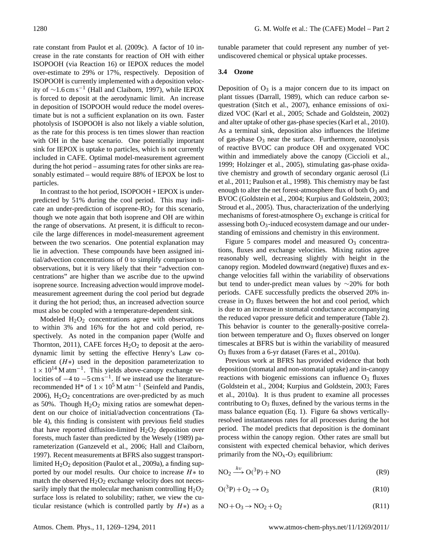rate constant from Paulot et al. (2009c). A factor of 10 increase in the rate constants for reaction of OH with either ISOPOOH (via Reaction 16) or IEPOX reduces the model over-estimate to 29% or 17%, respectively. Deposition of ISOPOOH is currently implemented with a deposition velocity of ∼1.6 cm s−<sup>1</sup> (Hall and Claiborn, 1997), while IEPOX is forced to deposit at the aerodynamic limit. An increase in deposition of ISOPOOH would reduce the model overestimate but is not a sufficient explanation on its own. Faster photolysis of ISOPOOH is also not likely a viable solution, as the rate for this process is ten times slower than reaction with OH in the base scenario. One potentially important sink for IEPOX is uptake to particles, which is not currently included in CAFE. Optimal model-measurement agreement during the hot period – assuming rates for other sinks are reasonably estimated – would require 88% of IEPOX be lost to particles.

In contrast to the hot period, ISOPOOH + IEPOX is underpredicted by 51% during the cool period. This may indicate an under-prediction of isoprene- $RO<sub>2</sub>$  for this scenario, though we note again that both isoprene and OH are within the range of observations. At present, it is difficult to reconcile the large differences in model-measurement agreement between the two scenarios. One potential explanation may lie in advection. These compounds have been assigned initial/advection concentrations of 0 to simplify comparison to observations, but it is very likely that their "advection concentrations" are higher than we ascribe due to the upwind isoprene source. Increasing advection would improve modelmeasurement agreement during the cool period but degrade it during the hot period; thus, an increased advection source must also be coupled with a temperature-dependent sink.

Modeled  $H_2O_2$  concentrations agree with observations to within 3% and 16% for the hot and cold period, respectively. As noted in the companion paper (Wolfe and Thornton, 2011), CAFE forces  $H_2O_2$  to deposit at the aerodynamic limit by setting the effective Henry's Law coefficient (H∗) used in the deposition parameterization to 1 × 10<sup>14</sup> M atm<sup>-1</sup>. This yields above-canopy exchange velocities of  $-4$  to  $-5$  cm s<sup>-1</sup>. If we instead use the literaturerecommended H<sup>\*</sup> of  $1 \times 10^5$  M atm<sup>-1</sup> (Seinfeld and Pandis, 2006),  $H_2O_2$  concentrations are over-predicted by as much as 50%. Though  $H_2O_2$  mixing ratios are somewhat dependent on our choice of initial/advection concentrations (Table 4), this finding is consistent with previous field studies that have reported diffusion-limited  $H_2O_2$  deposition over forests, much faster than predicted by the Wesely (1989) parameterization (Ganzeveld et al., 2006; Hall and Claiborn, 1997). Recent measurements at BFRS also suggest transportlimited  $H_2O_2$  deposition (Paulot et al., 2009a), a finding supported by our model results. Our choice to increase  $H*$  to match the observed  $H_2O_2$  exchange velocity does not necessarily imply that the molecular mechanism controlling  $H_2O_2$ surface loss is related to solubility; rather, we view the cuticular resistance (which is controlled partly by  $H*$ ) as a tunable parameter that could represent any number of yetundiscovered chemical or physical uptake processes.

#### **3.4 Ozone**

Deposition of  $O_3$  is a major concern due to its impact on plant tissues (Darrall, 1989), which can reduce carbon sequestration (Sitch et al., 2007), enhance emissions of oxidized VOC (Karl et al., 2005; Schade and Goldstein, 2002) and alter uptake of other gas-phase species (Karl et al., 2010). As a terminal sink, deposition also influences the lifetime of gas-phase  $O_3$  near the surface. Furthermore, ozonolysis of reactive BVOC can produce OH and oxygenated VOC within and immediately above the canopy (Ciccioli et al., 1999; Holzinger et al., 2005), stimulating gas-phase oxidative chemistry and growth of secondary organic aerosol (Li et al., 2011; Paulson et al., 1998). This chemistry may be fast enough to alter the net forest-atmosphere flux of both  $O_3$  and BVOC (Goldstein et al., 2004; Kurpius and Goldstein, 2003; Stroud et al., 2005). Thus, characterization of the underlying mechanisms of forest-atmosphere  $O_3$  exchange is critical for assessing both  $O_3$ -induced ecosystem damage and our understanding of emissions and chemistry in this environment.

Figure 5 compares model and measured  $O_3$  concentrations, fluxes and exchange velocities. Mixing ratios agree reasonably well, decreasing slightly with height in the canopy region. Modeled downward (negative) fluxes and exchange velocities fall within the variability of observations but tend to under-predict mean values by ∼20% for both periods. CAFE successfully predicts the observed 20% increase in  $O_3$  fluxes between the hot and cool period, which is due to an increase in stomatal conductance accompanying the reduced vapor pressure deficit and temperature (Table 2). This behavior is counter to the generally-positive correlation between temperature and  $O_3$  fluxes observed on longer timescales at BFRS but is within the variability of measured O<sup>3</sup> fluxes from a 6-yr dataset (Fares et al., 2010a).

Previous work at BFRS has provided evidence that both deposition (stomatal and non-stomatal uptake) and in-canopy reactions with biogenic emissions can influence  $O_3$  fluxes (Goldstein et al., 2004; Kurpius and Goldstein, 2003; Fares et al., 2010a). It is thus prudent to examine all processes contributing to  $O_3$  fluxes, defined by the various terms in the mass balance equation (Eq. 1). Figure 6a shows verticallyresolved instantaneous rates for all processes during the hot period. The model predicts that deposition is the dominant process within the canopy region. Other rates are small but consistent with expected chemical behavior, which derives primarily from the  $NO<sub>x</sub>$ - $O<sub>3</sub>$  equilibrium:

$$
NO_2 \xrightarrow{h\nu} O(^3P) + NO \tag{R9}
$$

$$
O(^3P) + O_2 \rightarrow O_3 \tag{R10}
$$

$$
NO + O_3 \rightarrow NO_2 + O_2 \tag{R11}
$$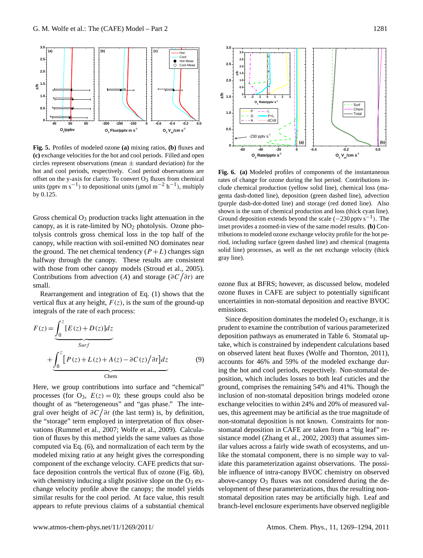

**Fig. 5.** Profiles of modeled ozone **(a)** mixing ratios, **(b)** fluxes and **(c)** exchange velocities for the hot and cool periods. Filled and open circles represent observations (mean  $\pm$  standard deviation) for the hot and cool periods, respectively. Cool period observations are offset on the y-axis for clarity. To convert  $O_3$  fluxes from chemical units (pptv m s<sup>-1</sup>) to depositional units ( $\mu$ mol m<sup>-2</sup> h<sup>-1</sup>), multiply by 0.125.

Gross chemical  $O_3$  production tracks light attenuation in the canopy, as it is rate-limited by  $NO<sub>2</sub>$  photolysis. Ozone photolysis controls gross chemical loss in the top half of the canopy, while reaction with soil-emitted NO dominates near the ground. The net chemical tendency  $(P+L)$  changes sign halfway through the canopy. These results are consistent with those from other canopy models (Stroud et al., 2005). Contributions from advection (A) and storage ( $\partial C/\partial t$ ) are small.

Rearrangement and integration of Eq. (1) shows that the vertical flux at any height,  $F(z)$ , is the sum of the ground-up integrals of the rate of each process:

 $27$ 

$$
F(z) = \underbrace{\int_0^z [E(z) + D(z)]dz}_{\text{Surf}} + \underbrace{\int_0^z [P(z) + L(z) + A(z) - \partial C(z) / \partial t]dz}_{\text{Chem}} \tag{9}
$$

Here, we group contributions into surface and "chemical" processes (for  $O_3$ ,  $E(z) = 0$ ); these groups could also be thought of as "heterogeneous" and "gas phase." The integral over height of  $\partial C/\partial t$  (the last term) is, by definition, the "storage" term employed in interpretation of flux observations (Rummel et al., 2007; Wolfe et al., 2009). Calculation of fluxes by this method yields the same values as those computed via Eq. (6), and normalization of each term by the modeled mixing ratio at any height gives the corresponding component of the exchange velocity. CAFE predicts that surface deposition controls the vertical flux of ozone (Fig. 6b), with chemistry inducing a slight positive slope on the  $O_3$  exchange velocity profile above the canopy; the model yields similar results for the cool period. At face value, this result appears to refute previous claims of a substantial chemical



**Fig. 6. (a)** Modeled profiles of components of the instantaneous rates of change for ozone during the hot period. Contributions include chemical production (yellow solid line), chemical loss (magenta dash-dotted line), deposition (green dashed line), advection (purple dash-dot-dotted line) and storage (red dotted line). Also shown is the sum of chemical production and loss (thick cyan line). Ground deposition extends beyond the scale  $(-230 \text{ pptv s}^{-1})$ . The inset provides a zoomed-in view of the same model results. **(b)** Contributions to modeled ozone exchange velocity profile for the hot period, including surface (green dashed line) and chemical (magenta solid line) processes, as well as the net exchange velocity (thick gray line).

ozone flux at BFRS; however, as discussed below, modeled ozone fluxes in CAFE are subject to potentially significant uncertainties in non-stomatal deposition and reactive BVOC emissions.

Since deposition dominates the modeled  $O_3$  exchange, it is prudent to examine the contribution of various parameterized deposition pathways as enumerated in Table 6. Stomatal uptake, which is constrained by independent calculations based on observed latent heat fluxes (Wolfe and Thornton, 2011), accounts for 46% and 59% of the modeled exchange during the hot and cool periods, respectively. Non-stomatal deposition, which includes losses to both leaf cuticles and the ground, comprises the remaining 54% and 41%. Though the inclusion of non-stomatal deposition brings modeled ozone exchange velocities to within 24% and 20% of measured values, this agreement may be artificial as the true magnitude of non-stomatal deposition is not known. Constraints for nonstomatal deposition in CAFE are taken from a "big leaf" resistance model (Zhang et al., 2002, 2003) that assumes similar values across a fairly wide swath of ecosystems, and unlike the stomatal component, there is no simple way to validate this parameterization against observations. The possible influence of intra-canopy BVOC chemistry on observed above-canopy  $O_3$  fluxes was not considered during the development of these parameterizations, thus the resulting nonstomatal deposition rates may be artificially high. Leaf and branch-level enclosure experiments have observed negligible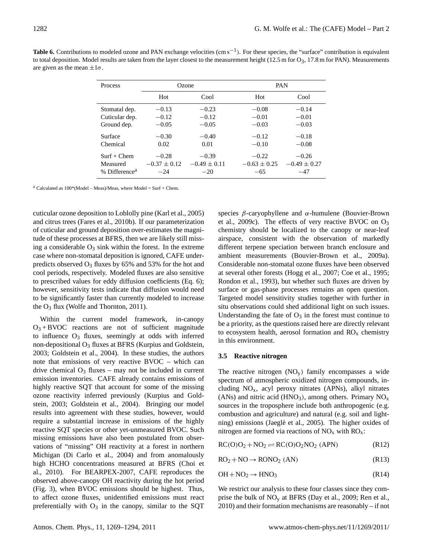| Process                   | Ozone            |                  | <b>PAN</b>       |                  |  |
|---------------------------|------------------|------------------|------------------|------------------|--|
|                           | Hot              | Cool             | Hot              | Cool             |  |
| Stomatal dep.             | $-0.13$          | $-0.23$          | $-0.08$          | $-0.14$          |  |
| Cuticular dep.            | $-0.12$          | $-0.12$          | $-0.01$          | $-0.01$          |  |
| Ground dep.               | $-0.05$          | $-0.05$          | $-0.03$          | $-0.03$          |  |
| Surface                   | $-0.30$          | $-0.40$          | $-0.12$          | $-0.18$          |  |
| Chemical                  | 0.02             | 0.01             | $-0.10$          | $-0.08$          |  |
| $Surf + Chem$             | $-0.28$          | $-0.39$          | $-0.22$          | $-0.26$          |  |
| Measured                  | $-0.37 \pm 0.12$ | $-0.49 \pm 0.11$ | $-0.63 \pm 0.25$ | $-0.49 \pm 0.27$ |  |
| % Difference <sup>a</sup> | $-24$            | $-20$            | $-65$            | $-47$            |  |

Table 6. Contributions to modeled ozone and PAN exchange velocities (cm s<sup>-1</sup>). For these species, the "surface" contribution is equivalent to total deposition. Model results are taken from the layer closest to the measurement height  $(12.5 \text{ m for O}_3, 17.8 \text{ m for PAN})$ . Measurements are given as the mean  $\pm 1\sigma$ .

<sup>a</sup> Calculated as  $100*(\text{Model} - \text{Meas})/\text{Meas}$ , where Model = Surf + Chem.

cuticular ozone deposition to Loblolly pine (Karl et al., 2005) and citrus trees (Fares et al., 2010b). If our parameterization of cuticular and ground deposition over-estimates the magnitude of these processes at BFRS, then we are likely still missing a considerable  $O_3$  sink within the forest. In the extreme case where non-stomatal deposition is ignored, CAFE underpredicts observed O<sup>3</sup> fluxes by 65% and 53% for the hot and cool periods, respectively. Modeled fluxes are also sensitive to prescribed values for eddy diffusion coefficients (Eq. 6); however, sensitivity tests indicate that diffusion would need to be significantly faster than currently modeled to increase the  $O_3$  flux (Wolfe and Thornton, 2011).

Within the current model framework, in-canopy  $O_3 + BVOC$  reactions are not of sufficient magnitude to influence  $O_3$  fluxes, seemingly at odds with inferred non-depositional  $O_3$  fluxes at BFRS (Kurpius and Goldstein, 2003; Goldstein et al., 2004). In these studies, the authors note that emissions of very reactive BVOC – which can drive chemical  $O_3$  fluxes – may not be included in current emission inventories. CAFE already contains emissions of highly reactive SQT that account for some of the missing ozone reactivity inferred previously (Kurpius and Goldstein, 2003; Goldstein et al., 2004). Bringing our model results into agreement with these studies, however, would require a substantial increase in emissions of the highly reactive SQT species or other yet-unmeasured BVOC. Such missing emissions have also been postulated from observations of "missing" OH reactivity at a forest in northern Michigan (Di Carlo et al., 2004) and from anomalously high HCHO concentrations measured at BFRS (Choi et al., 2010). For BEARPEX-2007, CAFE reproduces the observed above-canopy OH reactivity during the hot period (Fig. 3), when BVOC emissions should be highest. Thus, to affect ozone fluxes, unidentified emissions must react preferentially with  $O_3$  in the canopy, similar to the SQT species β-caryophyllene and  $α$ -humulene (Bouvier-Brown et al., 2009c). The effects of very reactive BVOC on  $O_3$ chemistry should be localized to the canopy or near-leaf airspace, consistent with the observation of markedly different terpene speciation between branch enclosure and ambient measurements (Bouvier-Brown et al., 2009a). Considerable non-stomatal ozone fluxes have been observed at several other forests (Hogg et al., 2007; Coe et al., 1995; Rondon et al., 1993), but whether such fluxes are driven by surface or gas-phase processes remains an open question. Targeted model sensitivity studies together with further in situ observations could shed additional light on such issues. Understanding the fate of  $O_3$  in the forest must continue to be a priority, as the questions raised here are directly relevant to ecosystem health, aerosol formation and  $RO<sub>x</sub>$  chemistry in this environment.

#### **3.5 Reactive nitrogen**

The reactive nitrogen  $(NO<sub>y</sub>)$  family encompasses a wide spectrum of atmospheric oxidized nitrogen compounds, including  $NO<sub>x</sub>$ , acyl peroxy nitrates (APNs), alkyl nitrates (ANs) and nitric acid (HNO<sub>3</sub>), among others. Primary  $NO<sub>x</sub>$ sources in the troposphere include both anthropogenic (e.g. combustion and agriculture) and natural (e.g. soil and lightning) emissions (Jaeglé et al., 2005). The higher oxides of nitrogen are formed via reactions of  $NO<sub>x</sub>$  with  $RO<sub>x</sub>$ :

$$
RC(O)O2 + NO2 \rightleftharpoons RC(O)O2NO2 (APN)
$$
 (R12)

$$
RO2 + NO \rightarrow RONO2 (AN)
$$
 (R13)

$$
OH + NO_2 \rightarrow HNO_3 \tag{R14}
$$

We restrict our analysis to these four classes since they comprise the bulk of NO<sup>y</sup> at BFRS (Day et al., 2009; Ren et al., 2010) and their formation mechanisms are reasonably – if not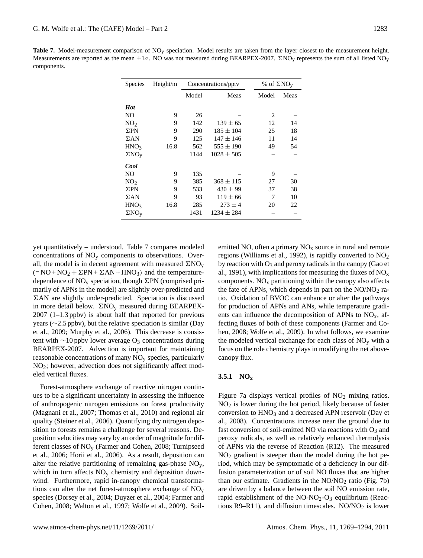**Table 7.** Model-measurement comparison of NO<sub>y</sub> speciation. Model results are taken from the layer closest to the measurement height. Measurements are reported as the mean  $\pm 1\sigma$ . NO was not measured during BEARPEX-2007.  $\Sigma NO<sub>y</sub>$  represents the sum of all listed NO<sub>y</sub> components.

| <b>Species</b>   | Height/m | Concentrations/ppty |                | % of $\Sigma NO_V$ |      |
|------------------|----------|---------------------|----------------|--------------------|------|
|                  |          | Model               | Meas           | Model              | Meas |
| <b>Hot</b>       |          |                     |                |                    |      |
| NO               | 9        | 26                  |                | 2                  |      |
| NO <sub>2</sub>  | 9        | 142                 | $139 \pm 65$   | 12                 | 14   |
| $\Sigma$ PN      | 9        | 290                 | $185 \pm 104$  | 25                 | 18   |
| $\Sigma AN$      | 9        | 125                 | $147 \pm 146$  | 11                 | 14   |
| HNO <sub>3</sub> | 16.8     | 562                 | $555 \pm 190$  | 49                 | 54   |
| $\Sigma NO_V$    |          | 1144                | $1028 \pm 505$ |                    |      |
| Cool             |          |                     |                |                    |      |
| NO               | 9        | 135                 |                | 9                  |      |
| NO <sub>2</sub>  | 9        | 385                 | $368 \pm 115$  | 27                 | 30   |
| $\Sigma$ PN      | 9        | 533                 | $430 \pm 99$   | 37                 | 38   |
| $\Sigma AN$      | 9        | 93                  | $119 \pm 66$   | 7                  | 10   |
| HNO <sub>3</sub> | 16.8     | 285                 | $273 \pm 4$    | 20                 | 22   |
| $\Sigma NO_V$    |          | 1431                | $1234 \pm 284$ |                    |      |

yet quantitatively – understood. Table 7 compares modeled concentrations of  $NO<sub>y</sub>$  components to observations. Overall, the model is in decent agreement with measured  $\Sigma NO_y$  $(= NO + NO<sub>2</sub> + \Sigma PN + \Sigma AN + HNO<sub>3</sub>)$  and the temperaturedependence of  $NO<sub>y</sub>$  speciation, though  $\Sigma PN$  (comprised primarily of APNs in the model) are slightly over-predicted and  $\Sigma AN$  are slightly under-predicted. Speciation is discussed in more detail below.  $\Sigma NO_v$  measured during BEARPEX-2007 (1–1.3 ppbv) is about half that reported for previous years (∼2.5 ppbv), but the relative speciation is similar (Day et al., 2009; Murphy et al., 2006). This decrease is consistent with  $\sim$ 10 ppbv lower average O<sub>3</sub> concentrations during BEARPEX-2007. Advection is important for maintaining reasonable concentrations of many NO<sup>y</sup> species, particularly NO2; however, advection does not significantly affect modeled vertical fluxes.

Forest-atmosphere exchange of reactive nitrogen continues to be a significant uncertainty in assessing the influence of anthropogenic nitrogen emissions on forest productivity (Magnani et al., 2007; Thomas et al., 2010) and regional air quality (Steiner et al., 2006). Quantifying dry nitrogen deposition to forests remains a challenge for several reasons. Deposition velocities may vary by an order of magnitude for different classes of NO<sup>y</sup> (Farmer and Cohen, 2008; Turnipseed et al., 2006; Horii et al., 2006). As a result, deposition can alter the relative partitioning of remaining gas-phase  $NO<sub>v</sub>$ , which in turn affects  $NO<sub>v</sub>$  chemistry and deposition downwind. Furthermore, rapid in-canopy chemical transformations can alter the net forest-atmosphere exchange of  $NO<sub>v</sub>$ species (Dorsey et al., 2004; Duyzer et al., 2004; Farmer and Cohen, 2008; Walton et al., 1997; Wolfe et al., 2009). Soilemitted NO, often a primary  $NO<sub>x</sub>$  source in rural and remote regions (Williams et al., 1992), is rapidly converted to  $NO<sub>2</sub>$ by reaction with  $O_3$  and peroxy radicals in the canopy (Gao et al., 1991), with implications for measuring the fluxes of  $NO<sub>x</sub>$ components.  $NO<sub>x</sub>$  partitioning within the canopy also affects the fate of APNs, which depends in part on the  $NO/NO<sub>2</sub>$  ratio. Oxidation of BVOC can enhance or alter the pathways for production of APNs and ANs, while temperature gradients can influence the decomposition of APNs to  $NO<sub>x</sub>$ , affecting fluxes of both of these components (Farmer and Cohen, 2008; Wolfe et al., 2009). In what follows, we examine the modeled vertical exchange for each class of  $NO<sub>y</sub>$  with a focus on the role chemistry plays in modifying the net abovecanopy flux.

## **3.5.1 NO<sup>x</sup>**

Figure 7a displays vertical profiles of  $NO<sub>2</sub>$  mixing ratios. NO<sup>2</sup> is lower during the hot period, likely because of faster conversion to  $HNO<sub>3</sub>$  and a decreased APN reservoir (Day et al., 2008). Concentrations increase near the ground due to fast conversion of soil-emitted NO via reactions with  $O_3$  and peroxy radicals, as well as relatively enhanced thermolysis of APNs via the reverse of Reaction (R12). The measured  $NO<sub>2</sub>$  gradient is steeper than the model during the hot period, which may be symptomatic of a deficiency in our diffusion parameterization or of soil NO fluxes that are higher than our estimate. Gradients in the  $NO/NO<sub>2</sub>$  ratio (Fig. 7b) are driven by a balance between the soil NO emission rate, rapid establishment of the  $NO-NO<sub>2</sub>-O<sub>3</sub>$  equilibrium (Reactions R9–R11), and diffusion timescales.  $NO/NO<sub>2</sub>$  is lower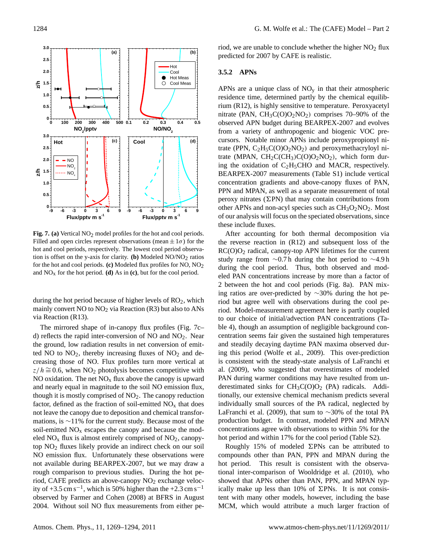

Fig. 7. (a) Vertical NO<sub>2</sub> model profiles for the hot and cool periods. Filled and open circles represent observations (mean  $\pm 1\sigma$ ) for the hot and cool periods, respectively. The lowest cool period observation is offset on the y-axis for clarity. **(b)** Modeled  $NO/NO<sub>2</sub>$  ratios for the hot and cool periods. **(c)** Modeled flux profiles for NO, NO2 and NOx for the hot period. **(d)** As in **(c)**, but for the cool period.

during the hot period because of higher levels of  $RO<sub>2</sub>$ , which mainly convert  $NO$  to  $NO<sub>2</sub>$  via Reaction (R3) but also to ANs via Reaction (R13).

The mirrored shape of in-canopy flux profiles (Fig. 7c– d) reflects the rapid inter-conversion of NO and  $NO<sub>2</sub>$ . Near the ground, low radiation results in net conversion of emitted NO to  $NO<sub>2</sub>$ , thereby increasing fluxes of  $NO<sub>2</sub>$  and decreasing those of NO. Flux profiles turn more vertical at  $z/h \approx 0.6$ , when NO<sub>2</sub> photolysis becomes competitive with NO oxidation. The net  $NO<sub>x</sub>$  flux above the canopy is upward and nearly equal in magnitude to the soil NO emission flux, though it is mostly comprised of  $NO<sub>2</sub>$ . The canopy reduction factor, defined as the fraction of soil-emitted  $NO<sub>x</sub>$  that does not leave the canopy due to deposition and chemical transformations, is ∼11% for the current study. Because most of the soil-emitted  $NO<sub>x</sub>$  escapes the canopy and because the modeled  $NO<sub>x</sub>$  flux is almost entirely comprised of  $NO<sub>2</sub>$ , canopytop NO<sup>2</sup> fluxes likely provide an indirect check on our soil NO emission flux. Unfortunately these observations were not available during BEARPEX-2007, but we may draw a rough comparison to previous studies. During the hot period, CAFE predicts an above-canopy NO<sub>2</sub> exchange velocity of +3.5 cm s<sup>-1</sup>, which is 50% higher than the +2.3 cm s<sup>-1</sup> observed by Farmer and Cohen (2008) at BFRS in August 2004. Without soil NO flux measurements from either period, we are unable to conclude whether the higher  $NO<sub>2</sub>$  flux predicted for 2007 by CAFE is realistic.

## **3.5.2 APNs**

APNs are a unique class of  $NO<sub>v</sub>$  in that their atmospheric residence time, determined partly by the chemical equilibrium (R12), is highly sensitive to temperature. Peroxyacetyl nitrate (PAN,  $CH_3C(O)O_2NO_2$ ) comprises 70–90% of the observed APN budget during BEARPEX-2007 and evolves from a variety of anthropogenic and biogenic VOC precursors. Notable minor APNs include peroxypropionyl nitrate (PPN,  $C_2H_5C(O)O_2NO_2$ ) and peroxymethacryloyl nitrate (MPAN,  $CH_2C(CH_3)C(O)O_2NO_2$ ), which form during the oxidation of  $C_2H_5CHO$  and MACR, respectively. BEARPEX-2007 measurements (Table S1) include vertical concentration gradients and above-canopy fluxes of PAN, PPN and MPAN, as well as a separate measurement of total peroxy nitrates ( $\Sigma$ PN) that may contain contributions from other APNs and non-acyl species such as  $CH<sub>3</sub>O<sub>2</sub>NO<sub>2</sub>$ . Most of our analysis will focus on the speciated observations, since these include fluxes.

After accounting for both thermal decomposition via the reverse reaction in (R12) and subsequent loss of the  $RC(O)O<sub>2</sub>$  radical, canopy-top APN lifetimes for the current study range from ∼0.7 h during the hot period to ∼4.9 h during the cool period. Thus, both observed and modeled PAN concentrations increase by more than a factor of 2 between the hot and cool periods (Fig. 8a). PAN mixing ratios are over-predicted by ∼30% during the hot period but agree well with observations during the cool period. Model-measurement agreement here is partly coupled to our choice of initial/advection PAN concentrations (Table 4), though an assumption of negligible background concentration seems fair given the sustained high temperatures and steadily decaying daytime PAN maxima observed during this period (Wolfe et al., 2009). This over-prediction is consistent with the steady-state analysis of LaFranchi et al. (2009), who suggested that overestimates of modeled PAN during warmer conditions may have resulted from underestimated sinks for  $CH_3C(O)O_2$  (PA) radicals. Additionally, our extensive chemical mechanism predicts several individually small sources of the PA radical, neglected by LaFranchi et al. (2009), that sum to ∼30% of the total PA production budget. In contrast, modeled PPN and MPAN concentrations agree with observations to within 5% for the hot period and within 17% for the cool period (Table S2).

Roughly 15% of modeled  $\Sigma$ PNs can be attributed to compounds other than PAN, PPN and MPAN during the hot period. This result is consistent with the observational inter-comparison of Wooldridge et al. (2010), who showed that APNs other than PAN, PPN, and MPAN typically make up less than 10% of  $\Sigma$ PNs. It is not consistent with many other models, however, including the base MCM, which would attribute a much larger fraction of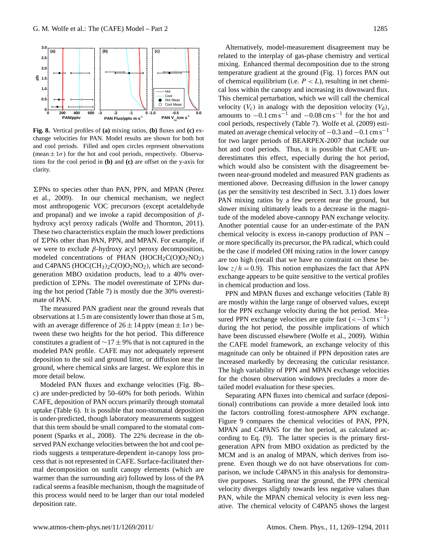

**Fig. 8.** Vertical profiles of **(a)** mixing ratios, **(b)** fluxes and **(c)** exchange velocities for PAN. Model results are shown for both hot and cool periods. Filled and open circles represent observations (mean  $\pm 1\sigma$ ) for the hot and cool periods, respectively. Observations for the cool period in **(b)** and **(c)** are offset on the y-axis for clarity.

 $\Sigma$ PNs to species other than PAN, PPN, and MPAN (Perez et al., 2009). In our chemical mechanism, we neglect most anthropogenic VOC precursors (except acetaldehyde and propanal) and we invoke a rapid decomposition of  $\beta$ hydroxy acyl peroxy radicals (Wolfe and Thornton, 2011). These two characteristics explain the much lower predictions of  $\Sigma$ PNs other than PAN, PPN, and MPAN. For example, if we were to exclude  $\beta$ -hydroxy acyl peroxy decomposition, modeled concentrations of PHAN  $(HOCH<sub>2</sub>C(O)O<sub>2</sub>NO<sub>2</sub>)$ and C4PAN5 (HOC(CH<sub>3</sub>)<sub>2</sub>C(O)O<sub>2</sub>NO<sub>2</sub>), which are secondgeneration MBO oxidation products, lead to a 40% overprediction of  $\Sigma$ PNs. The model overestimate of  $\Sigma$ PNs during the hot period (Table 7) is mostly due the 30% overestimate of PAN.

The measured PAN gradient near the ground reveals that observations at 1.5 m are consistently lower than those at 5 m, with an average difference of  $26 \pm 14$  pptv (mean  $\pm 1\sigma$ ) between these two heights for the hot period. This difference constitutes a gradient of ∼17 ± 9% that is not captured in the modeled PAN profile. CAFE may not adequately represent deposition to the soil and ground litter, or diffusion near the ground, where chemical sinks are largest. We explore this in more detail below.

Modeled PAN fluxes and exchange velocities (Fig. 8b– c) are under-predicted by 50–60% for both periods. Within CAFE, deposition of PAN occurs primarily through stomatal uptake (Table 6). It is possible that non-stomatal deposition is under-predicted, though laboratory measurements suggest that this term should be small compared to the stomatal component (Sparks et al., 2008). The 22% decrease in the observed PAN exchange velocities between the hot and cool periods suggests a temperature-dependent in-canopy loss process that is not represented in CAFE. Surface-facilitated thermal decomposition on sunlit canopy elements (which are warmer than the surrounding air) followed by loss of the PA radical seems a feasible mechanism, though the magnitude of this process would need to be larger than our total modeled deposition rate.

Alternatively, model-measurement disagreement may be related to the interplay of gas-phase chemistry and vertical mixing. Enhanced thermal decomposition due to the strong temperature gradient at the ground (Fig. 1) forces PAN out of chemical equilibrium (i.e.  $P < L$ ), resulting in net chemical loss within the canopy and increasing its downward flux. This chemical perturbation, which we will call the chemical velocity  $(V_c)$  in analogy with the deposition velocity  $(V_d)$ , amounts to  $-0.1 \text{ cm s}^{-1}$  and  $-0.08 \text{ cm s}^{-1}$  for the hot and cool periods, respectively (Table 7). Wolfe et al. (2009) estimated an average chemical velocity of  $-0.3$  and  $-0.1$  cm s<sup>-1</sup> for two larger periods of BEARPEX-2007 that include our hot and cool periods. Thus, it is possible that CAFE underestimates this effect, especially during the hot period, which would also be consistent with the disagreement between near-ground modeled and measured PAN gradients as mentioned above. Decreasing diffusion in the lower canopy (as per the sensitivity test described in Sect. 3.1) does lower PAN mixing ratios by a few percent near the ground, but slower mixing ultimately leads to a decrease in the magnitude of the modeled above-cannopy PAN exchange velocity. Another potential cause for an under-estimate of the PAN chemical velocity is excess in-canopy production of PAN – or more specifically its precursor, the PA radical, which could be the case if modeled OH mixing ratios in the lower canopy are too high (recall that we have no constraint on these below  $z/h = 0.9$ ). This notion emphasizes the fact that APN exchange appears to be quite sensitive to the vertical profiles in chemical production and loss.

PPN and MPAN fluxes and exchange velocities (Table 8) are mostly within the large range of observed values, except for the PPN exchange velocity during the hot period. Measured PPN exchange velocities are quite fast  $(<-3 \text{ cm s}^{-1})$ during the hot period, the possible implications of which have been discussed elsewhere (Wolfe et al., 2009). Within the CAFE model framework, an exchange velocity of this magnitude can only be obtained if PPN deposition rates are increased markedly by decreasing the cuticular resistance. The high variability of PPN and MPAN exchange velocities for the chosen observation windows precludes a more detailed model evaluation for these species.

Separating APN fluxes into chemical and surface (depositional) contributions can provide a more detailed look into the factors controlling forest-atmosphere APN exchange. Figure 9 compares the chemical velocities of PAN, PPN, MPAN and C4PAN5 for the hot period, as calculated according to Eq. (9). The latter species is the primary firstgeneration APN from MBO oxidation as predicted by the MCM and is an analog of MPAN, which derives from isoprene. Even though we do not have observations for comparison, we include C4PAN5 in this analysis for demonstrative purposes. Starting near the ground, the PPN chemical velocity diverges slightly towards less negative values than PAN, while the MPAN chemical velocity is even less negative. The chemical velocity of C4PAN5 shows the largest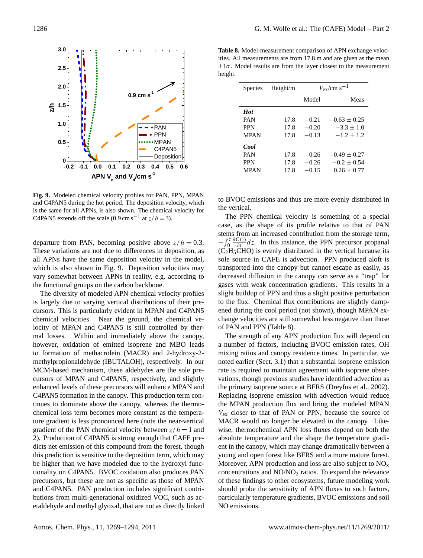

**Fig. 9.** Modeled chemical velocity profiles for PAN, PPN, MPAN and C4PAN5 during the hot period. The deposition velocity, which is the same for all APNs, is also shown. The chemical velocity for C4PAN5 extends off the scale (0.9 cm s<sup>-1</sup> at  $z/h = 3$ ).

departure from PAN, becoming positive above  $z/h = 0.3$ . These variations are not due to differences in deposition, as all APNs have the same deposition velocity in the model, which is also shown in Fig. 9. Deposition velocities may vary somewhat between APNs in reality, e.g. according to the functional groups on the carbon backbone.

The diversity of modeled APN chemical velocity profiles is largely due to varying vertical distributions of their precursors. This is particularly evident in MPAN and C4PAN5 chemical velocities. Near the ground, the chemical velocity of MPAN and C4PAN5 is still controlled by thermal losses. Within and immediately above the canopy, however, oxidation of emitted isoprene and MBO leads to formation of methacrolein (MACR) and 2-hydroxy-2 methylpropionaldehyde (IBUTALOH), respectively. In our MCM-based mechanism, these aldehydes are the sole precursors of MPAN and C4PAN5, respectively, and slightly enhanced levels of these precursors will enhance MPAN and C4PAN5 formation in the canopy. This production term continues to dominate above the canopy, whereas the thermochemical loss term becomes more constant as the temperature gradient is less pronounced here (note the near-vertical gradient of the PAN chemical velocity between  $z/h = 1$  and 2). Production of C4PAN5 is strong enough that CAFE predicts net emission of this compound from the forest, though this prediction is sensitive to the deposition term, which may be higher than we have modeled due to the hydroxyl functionality on C4PAN5. BVOC oxidation also produces PAN precursors, but these are not as specific as those of MPAN and C4PAN5. PAN production includes significant contributions from multi-generational oxidized VOC, such as acetaldehyde and methyl glyoxal, that are not as directly linked

**Table 8.** Model-measurement comparison of APN exchange velocities. All measurements are from 17.8 m and are given as the mean  $\pm 1\sigma$ . Model results are from the layer closest to the measurement height.

| <b>Species</b> | Height/m | $V_{\rm ex}/\rm cm~s^{-1}$ |                  |
|----------------|----------|----------------------------|------------------|
|                |          | Model                      | Meas             |
| <b>Hot</b>     |          |                            |                  |
| <b>PAN</b>     | 17.8     | $-0.21$                    | $-0.63 \pm 0.25$ |
| <b>PPN</b>     | 17.8     | $-0.20$                    | $-3.3 \pm 1.0$   |
| <b>MPAN</b>    | 17.8     | $-0.13$                    | $-1.2 + 1.2$     |
| Cool           |          |                            |                  |
| <b>PAN</b>     | 17.8     | $-0.26$                    | $-0.49 \pm 0.27$ |
| <b>PPN</b>     | 17.8     | $-0.26$                    | $-0.2 \pm 0.54$  |
| <b>MPAN</b>    | 17.8     | $-0.15$                    | $0.26 + 0.77$    |

to BVOC emissions and thus are more evenly distributed in the vertical.

The PPN chemical velocity is something of a special case, as the shape of its profile relative to that of PAN stems from an increased contribution from the storage term,  $-\int_0^z \frac{\partial C(z)}{\partial t} dz$ . In this instance, the PPN precursor propanal  $(C_2H_5CHO)$  is evenly distributed in the vertical because its sole source in CAFE is advection. PPN produced aloft is transported into the canopy but cannot escape as easily, as decreased diffusion in the canopy can serve as a "trap" for gases with weak concentration gradients. This results in a slight buildup of PPN and thus a slight positive perturbation to the flux. Chemical flux contributions are slightly dampened during the cool period (not shown), though MPAN exchange velocities are still somewhat less negative than those of PAN and PPN (Table 8).

The strength of any APN production flux will depend on a number of factors, including BVOC emission rates, OH mixing ratios and canopy residence times. In particular, we noted earlier (Sect. 3.1) that a substantial isoprene emission rate is required to maintain agreement with isoprene observations, though previous studies have identified advection as the primary isoprene source at BFRS (Dreyfus et al., 2002). Replacing isoprene emission with advection would reduce the MPAN production flux and bring the modeled MPAN  $V_{\rm ex}$  closer to that of PAN or PPN, because the source of MACR would no longer be elevated in the canopy. Likewise, thermochemical APN loss fluxes depend on both the absolute temperature and the shape the temperature gradient in the canopy, which may change dramatically between a young and open forest like BFRS and a more mature forest. Moreover, APN production and loss are also subject to  $NO<sub>x</sub>$ concentrations and  $NO/NO<sub>2</sub>$  ratios. To expand the relevance of these findings to other ecosystems, future modeling work should probe the sensitivity of APN fluxes to such factors, particularly temperature gradients, BVOC emissions and soil NO emissions.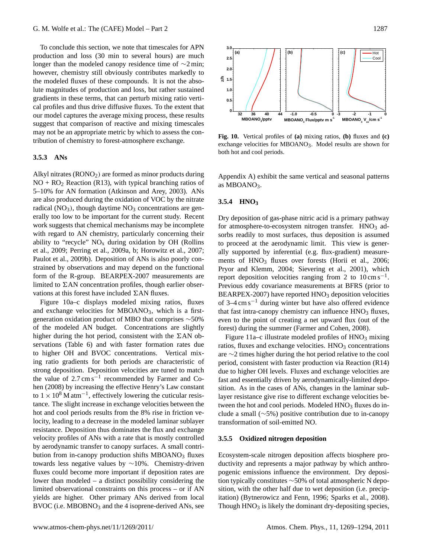To conclude this section, we note that timescales for APN production and loss (30 min to several hours) are much longer than the modeled canopy residence time of ∼2 min; however, chemistry still obviously contributes markedly to the modeled fluxes of these compounds. It is not the absolute magnitudes of production and loss, but rather sustained gradients in these terms, that can perturb mixing ratio vertical profiles and thus drive diffusive fluxes. To the extent that our model captures the average mixing process, these results suggest that comparison of reactive and mixing timescales may not be an appropriate metric by which to assess the contribution of chemistry to forest-atmosphere exchange.

## **3.5.3 ANs**

Alkyl nitrates (RONO2) are formed as minor products during  $NO + RO<sub>2</sub>$  Reaction (R13), with typical branching ratios of 5–10% for AN formation (Atkinson and Arey, 2003). ANs are also produced during the oxidation of VOC by the nitrate radical  $(NO<sub>3</sub>)$ , though daytime  $NO<sub>3</sub>$  concentrations are generally too low to be important for the current study. Recent work suggests that chemical mechanisms may be incomplete with regard to AN chemistry, particularly concerning their ability to "recycle"  $NO<sub>x</sub>$  during oxidation by OH (Rollins et al., 2009; Perring et al., 2009a, b; Horowitz et al., 2007; Paulot et al., 2009b). Deposition of ANs is also poorly constrained by observations and may depend on the functional form of the R-group. BEARPEX-2007 measurements are limited to  $\Sigma AN$  concentration profiles, though earlier observations at this forest have included  $\Sigma AN$  fluxes.

Figure 10a–c displays modeled mixing ratios, fluxes and exchange velocities for MBOANO<sub>3</sub>, which is a firstgeneration oxidation product of MBO that comprises ∼50% of the modeled AN budget. Concentrations are slightly higher during the hot period, consistent with the  $\Sigma AN$  observations (Table 6) and with faster formation rates due to higher OH and BVOC concentrations. Vertical mixing ratio gradients for both periods are characteristic of strong deposition. Deposition velocities are tuned to match the value of  $2.7 \text{ cm s}^{-1}$  recommended by Farmer and Cohen (2008) by increasing the effective Henry's Law constant to  $1 \times 10^8$  M atm<sup>-1</sup>, effectively lowering the cuticular resistance. The slight increase in exchange velocities between the hot and cool periods results from the 8% rise in friction velocity, leading to a decrease in the modeled laminar sublayer resistance. Deposition thus dominates the flux and exchange velocity profiles of ANs with a rate that is mostly controlled by aerodynamic transfer to canopy surfaces. A small contribution from in-canopy production shifts  $MBOANO<sub>3</sub>$  fluxes towards less negative values by ∼10%. Chemistry-driven fluxes could become more important if deposition rates are lower than modeled – a distinct possibility considering the limited observational constraints on this process – or if AN yields are higher. Other primary ANs derived from local BVOC (i.e. MBOBNO<sub>3</sub> and the 4 isoprene-derived ANs, see



**Fig. 10.** Vertical profiles of **(a)** mixing ratios, **(b)** fluxes and **(c)** exchange velocities for  $MBOANO<sub>3</sub>$ . Model results are shown for both hot and cool periods.

Appendix A) exhibit the same vertical and seasonal patterns as  $MBOANO<sub>3</sub>$ .

#### **3.5.4 HNO<sup>3</sup>**

Dry deposition of gas-phase nitric acid is a primary pathway for atmosphere-to-ecosystem nitrogen transfer.  $HNO<sub>3</sub>$  adsorbs readily to most surfaces, thus deposition is assumed to proceed at the aerodynamic limit. This view is generally supported by inferential (e.g. flux-gradient) measurements of HNO<sub>3</sub> fluxes over forests (Horii et al., 2006; Pryor and Klemm, 2004; Sievering et al., 2001), which report deposition velocities ranging from 2 to  $10 \text{ cm s}^{-1}$ . Previous eddy covariance measurements at BFRS (prior to BEARPEX-2007) have reported HNO<sub>3</sub> deposition velocities of 3–4 cm s−<sup>1</sup> during winter but have also offered evidence that fast intra-canopy chemistry can influence  $HNO<sub>3</sub>$  fluxes, even to the point of creating a net upward flux (out of the forest) during the summer (Farmer and Cohen, 2008).

Figure 11a–c illustrate modeled profiles of  $HNO<sub>3</sub>$  mixing ratios, fluxes and exchange velocities. HNO<sub>3</sub> concentrations are ∼2 times higher during the hot period relative to the cool period, consistent with faster production via Reaction (R14) due to higher OH levels. Fluxes and exchange velocities are fast and essentially driven by aerodynamically-limited deposition. As in the cases of ANs, changes in the laminar sublayer resistance give rise to different exchange velocities between the hot and cool periods. Modeled  $HNO<sub>3</sub>$  fluxes do include a small (∼5%) positive contribution due to in-canopy transformation of soil-emitted NO.

#### **3.5.5 Oxidized nitrogen deposition**

Ecosystem-scale nitrogen deposition affects biosphere productivity and represents a major pathway by which anthropogenic emissions influence the environment. Dry deposition typically constitutes ∼50% of total atmospheric N deposition, with the other half due to wet deposition (i.e. precipitation) (Bytnerowicz and Fenn, 1996; Sparks et al., 2008). Though  $HNO<sub>3</sub>$  is likely the dominant dry-depositing species,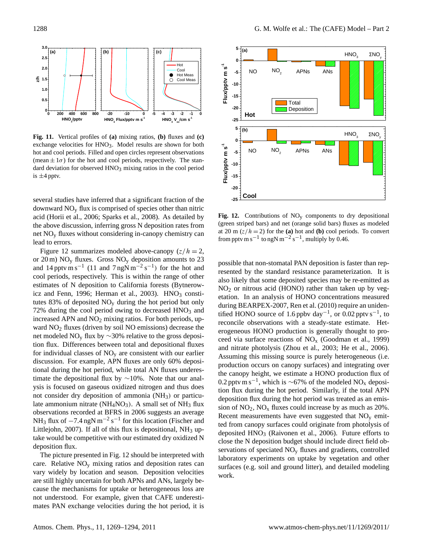

**Fig. 11.** Vertical profiles of **(a)** mixing ratios, **(b)** fluxes and **(c)** exchange velocities for HNO<sub>3</sub>. Model results are shown for both hot and cool periods. Filled and open circles represent observations (mean  $\pm 1\sigma$ ) for the hot and cool periods, respectively. The standard deviation for observed  $HNO<sub>3</sub>$  mixing ratios in the cool period is  $\pm 4$  pptv.

several studies have inferred that a significant fraction of the downward  $NO<sub>v</sub>$  flux is comprised of species other than nitric acid (Horii et al., 2006; Sparks et al., 2008). As detailed by the above discussion, inferring gross N deposition rates from net NO<sup>y</sup> fluxes without considering in-canopy chemistry can lead to errors.

Figure 12 summarizes modeled above-canopy  $\left(\frac{z}{h}\right) = 2$ , or 20 m)  $NO<sub>v</sub>$  fluxes. Gross  $NO<sub>v</sub>$  deposition amounts to 23 and 14 pptv m s<sup>-1</sup> (11 and 7 ngN m<sup>-2</sup> s<sup>-1</sup>) for the hot and cool periods, respectively. This is within the range of other estimates of N deposition to California forests (Bytnerowicz and Fenn, 1996; Herman et al.,  $2003$ ).  $HNO<sub>3</sub>$  constitutes 83% of deposited NO<sup>y</sup> during the hot period but only 72% during the cool period owing to decreased  $HNO<sub>3</sub>$  and increased APN and  $NO<sub>2</sub>$  mixing ratios. For both periods, upward NO<sub>2</sub> fluxes (driven by soil NO emissions) decrease the net modeled NO<sup>y</sup> flux by ∼30% relative to the gross deposition flux. Differences between total and depositional fluxes for individual classes of  $NO<sub>y</sub>$  are consistent with our earlier discussion. For example, APN fluxes are only 60% depositional during the hot period, while total AN fluxes underestimate the depositional flux by ∼10%. Note that our analysis is focused on gaseous oxidized nitrogen and thus does not consider dry deposition of ammonia (NH3) or particulate ammonium nitrate ( $NH<sub>4</sub>NO<sub>3</sub>$ ). A small set of  $NH<sub>3</sub>$  flux observations recorded at BFRS in 2006 suggests an average NH<sub>3</sub> flux of  $-7.4$  ngN m<sup>-2</sup> s<sup>-1</sup> for this location (Fischer and Littlejohn, 2007). If all of this flux is depositional,  $NH_3$  uptake would be competitive with our estimated dry oxidized N deposition flux.

The picture presented in Fig. 12 should be interpreted with care. Relative  $NO<sub>v</sub>$  mixing ratios and deposition rates can vary widely by location and season. Deposition velocities are still highly uncertain for both APNs and ANs, largely because the mechanisms for uptake or heterogeneous loss are not understood. For example, given that CAFE underestimates PAN exchange velocities during the hot period, it is



Fig. 12. Contributions of NO<sub>y</sub> components to dry depositional (green striped bars) and net (orange solid bars) fluxes as modeled at 20 m  $(z/h = 2)$  for the **(a)** hot and **(b)** cool periods. To convert from pptv m s<sup>-1</sup> to ngN m<sup>-2</sup> s<sup>-1</sup>, multiply by 0.46.

possible that non-stomatal PAN deposition is faster than represented by the standard resistance parameterization. It is also likely that some deposited species may be re-emitted as  $NO<sub>2</sub>$  or nitrous acid (HONO) rather than taken up by vegetation. In an analysis of HONO concentrations measured during BEARPEX-2007, Ren et al. (2010) require an unidentified HONO source of 1.6 ppbv day<sup>-1</sup>, or 0.02 pptv s<sup>-1</sup>, to reconcile observations with a steady-state estimate. Heterogeneous HONO production is generally thought to proceed via surface reactions of  $NO<sub>x</sub>$  (Goodman et al., 1999) and nitrate photolysis (Zhou et al., 2003; He et al., 2006). Assuming this missing source is purely heterogeneous (i.e. production occurs on canopy surfaces) and integrating over the canopy height, we estimate a HONO production flux of 0.2 pptv m s<sup>-1</sup>, which is ~67% of the modeled NO<sub>x</sub> deposition flux during the hot period. Similarly, if the total APN deposition flux during the hot period was treated as an emission of  $NO_2$ ,  $NO_x$  fluxes could increase by as much as  $20\%$ . Recent measurements have even suggested that  $NO<sub>v</sub>$  emitted from canopy surfaces could originate from photolysis of deposited HNO<sub>3</sub> (Raivonen et al., 2006). Future efforts to close the N deposition budget should include direct field observations of speciated  $NO<sub>y</sub>$  fluxes and gradients, controlled laboratory experiments on uptake by vegetation and other surfaces (e.g. soil and ground litter), and detailed modeling work.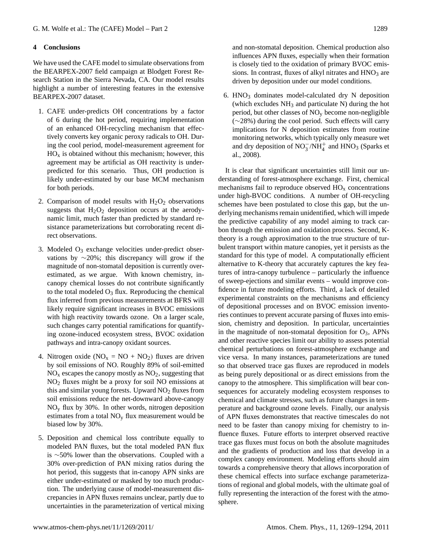## **4 Conclusions**

We have used the CAFE model to simulate observations from the BEARPEX-2007 field campaign at Blodgett Forest Research Station in the Sierra Nevada, CA. Our model results highlight a number of interesting features in the extensive BEARPEX-2007 dataset.

- 1. CAFE under-predicts OH concentrations by a factor of 6 during the hot period, requiring implementation of an enhanced OH-recycling mechanism that effectively converts key organic peroxy radicals to OH. During the cool period, model-measurement agreement for  $HO<sub>x</sub>$  is obtained without this mechanism; however, this agreement may be artificial as OH reactivity is underpredicted for this scenario. Thus, OH production is likely under-estimated by our base MCM mechanism for both periods.
- 2. Comparison of model results with  $H_2O_2$  observations suggests that  $H_2O_2$  deposition occurs at the aerodynamic limit, much faster than predicted by standard resistance parameterizations but corroborating recent direct observations.
- 3. Modeled  $O_3$  exchange velocities under-predict observations by ∼20%; this discrepancy will grow if the magnitude of non-stomatal deposition is currently overestimated, as we argue. With known chemistry, incanopy chemical losses do not contribute significantly to the total modeled  $O_3$  flux. Reproducing the chemical flux inferred from previous measurements at BFRS will likely require significant increases in BVOC emissions with high reactivity towards ozone. On a larger scale, such changes carry potential ramifications for quantifying ozone-induced ecosystem stress, BVOC oxidation pathways and intra-canopy oxidant sources.
- 4. Nitrogen oxide ( $NO<sub>x</sub> = NO + NO<sub>2</sub>$ ) fluxes are driven by soil emissions of NO. Roughly 89% of soil-emitted  $NO<sub>x</sub>$  escapes the canopy mostly as  $NO<sub>2</sub>$ , suggesting that NO<sup>2</sup> fluxes might be a proxy for soil NO emissions at this and similar young forests. Upward  $NO<sub>2</sub>$  fluxes from soil emissions reduce the net-downward above-canopy  $NO<sub>y</sub>$  flux by 30%. In other words, nitrogen deposition estimates from a total  $NO<sub>y</sub>$  flux measurement would be biased low by 30%.
- 5. Deposition and chemical loss contribute equally to modeled PAN fluxes, but the total modeled PAN flux is ∼50% lower than the observations. Coupled with a 30% over-prediction of PAN mixing ratios during the hot period, this suggests that in-canopy APN sinks are either under-estimated or masked by too much production. The underlying cause of model-measurement discrepancies in APN fluxes remains unclear, partly due to uncertainties in the parameterization of vertical mixing

and non-stomatal deposition. Chemical production also influences APN fluxes, especially when their formation is closely tied to the oxidation of primary BVOC emissions. In contrast, fluxes of alkyl nitrates and  $HNO<sub>3</sub>$  are driven by deposition under our model conditions.

6.  $HNO<sub>3</sub>$  dominates model-calculated dry N deposition (which excludes  $NH<sub>3</sub>$  and particulate N) during the hot period, but other classes of  $NO<sub>v</sub>$  become non-negligible (∼28%) during the cool period. Such effects will carry implications for N deposition estimates from routine monitoring networks, which typically only measure wet and dry deposition of  $NO_3^-/NH_4^+$  and  $HNO_3$  (Sparks et al., 2008).

It is clear that significant uncertainties still limit our understanding of forest-atmosphere exchange. First, chemical mechanisms fail to reproduce observed  $HO_x$  concentrations under high-BVOC conditions. A number of OH-recycling schemes have been postulated to close this gap, but the underlying mechanisms remain unidentified, which will impede the predictive capability of any model aiming to track carbon through the emission and oxidation process. Second, Ktheory is a rough approximation to the true structure of turbulent transport within mature canopies, yet it persists as the standard for this type of model. A computationally efficient alternative to K-theory that accurately captures the key features of intra-canopy turbulence – particularly the influence of sweep-ejections and similar events – would improve confidence in future modeling efforts. Third, a lack of detailed experimental constraints on the mechanisms and efficiency of depositional processes and on BVOC emission inventories continues to prevent accurate parsing of fluxes into emission, chemistry and deposition. In particular, uncertainties in the magnitude of non-stomatal deposition for  $O_3$ , APNs and other reactive species limit our ability to assess potential chemical perturbations on forest-atmosphere exchange and vice versa. In many instances, parameterizations are tuned so that observed trace gas fluxes are reproduced in models as being purely depositional or as direct emissions from the canopy to the atmosphere. This simplification will bear consequences for accurately modeling ecosystem responses to chemical and climate stresses, such as future changes in temperature and background ozone levels. Finally, our analysis of APN fluxes demonstrates that reactive timescales do not need to be faster than canopy mixing for chemistry to influence fluxes. Future efforts to interpret observed reactive trace gas fluxes must focus on both the absolute magnitudes and the gradients of production and loss that develop in a complex canopy environment. Modeling efforts should aim towards a comprehensive theory that allows incorporation of these chemical effects into surface exchange parameterizations of regional and global models, with the ultimate goal of fully representing the interaction of the forest with the atmosphere.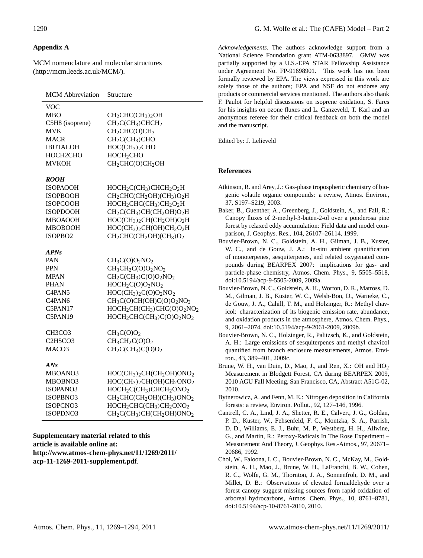# **Appendix A**

MCM nomenclature and molecular structures [\(http://mcm.leeds.ac.uk/MCM/\)](http://mcm.leeds.ac.uk/MCM/).

| <b>MCM</b> Abbreviation                       | Structure                                                                 |
|-----------------------------------------------|---------------------------------------------------------------------------|
| VOC                                           |                                                                           |
| MBO                                           | $CH2CHC(CH3)2OH$                                                          |
| C5H8 (isoprene)                               | $CH2CCH3)CHCH2$                                                           |
| <b>MVK</b>                                    | CH <sub>2</sub> CHC(O)CH <sub>3</sub>                                     |
| <b>MACR</b>                                   | CH <sub>2</sub> CCH <sub>3</sub> )CHO                                     |
| <b>IBUTALOH</b>                               | HOC(CH <sub>3</sub> ) <sub>2</sub> CHO                                    |
| HOCH2CHO                                      | HOCH <sub>2</sub> CHO                                                     |
| <b>MVKOH</b>                                  | CH <sub>2</sub> CHC(O)CH <sub>2</sub> OH                                  |
| ROOH                                          |                                                                           |
| <b>ISOPAOOH</b>                               | $HOCH2CCH3)CHCH2O2H$                                                      |
| <b>ISOPBOOH</b>                               | $CH2CHC(CH2OH)(CH3)O2H$                                                   |
| <b>ISOPCOOH</b>                               | $HOCH2CHC(CH3)CH2O2H$                                                     |
| <b>ISOPDOOH</b>                               | $CH2CCH3)CH(CH2OH)O2H$                                                    |
| <b>MBOAOOH</b>                                | $HOCCH3)2CH(CH2OH)O2H$                                                    |
| <b>MBOBOOH</b>                                | $HOC(CH3)2CH(OH)CH2O2H$                                                   |
| ISOPBO <sub>2</sub>                           | $CH2CHC(CH2OH)(CH3)O2$                                                    |
|                                               |                                                                           |
| <b>APNs</b>                                   |                                                                           |
| PAN                                           | $CH3C(O)O2NO2$                                                            |
| <b>PPN</b>                                    | $CH3CH2C(O)O2NO2$                                                         |
| <b>MPAN</b>                                   | $CH2C(CH3)C(O)O2NO2$                                                      |
| <b>PHAN</b>                                   | $HOCH2C(O)O2NO2$                                                          |
| C <sub>4</sub> P <sub>AN5</sub>               | $HOC(CH3)2C(O)O2NO2$                                                      |
| C <sub>4</sub> PAN <sub>6</sub>               | $CH_3C(O)CH(OH)C(O)O_2NO_2$                                               |
| C5PAN17                                       | $HOCH2CH(CH3)CHC(O)O2NO2$                                                 |
| C5PAN19                                       | $HOCH2CHC(CH3)C(O)O2NO2$                                                  |
| CH <sub>3</sub> CO <sub>3</sub>               | CH <sub>3</sub> C(O)O <sub>2</sub>                                        |
| C <sub>2</sub> H <sub>5</sub> CO <sub>3</sub> | $CH3CH2C(O)O2$                                                            |
| MACO3                                         | $CH2CCH3)C(O)O2$                                                          |
| ANS                                           |                                                                           |
| MBOANO3                                       | $HOC(CH3)2CH(CH2OH)ONO2$                                                  |
| MBOBNO3                                       | HOC(CH <sub>3</sub> ) <sub>2</sub> CH(OH)CH <sub>2</sub> ONO <sub>2</sub> |
| ISOPANO3                                      | HOCH <sub>2</sub> C(CH <sub>3</sub> )CHCH <sub>2</sub> ONO <sub>2</sub>   |
| ISOPBNO3                                      | $CH2CHC(CH2OH)(CH3)ONO2$                                                  |
| ISOPCNO3                                      | HOCH <sub>2</sub> CHC(CH <sub>3</sub> )CH <sub>2</sub> ONO <sub>2</sub>   |
| ISOPDNO3                                      | CH <sub>2</sub> C(CH <sub>3</sub> )CH(CH <sub>2</sub> OH)ONO <sub>2</sub> |
|                                               |                                                                           |

# **Supplementary material related to this article is available online at: [http://www.atmos-chem-phys.net/11/1269/2011/](http://www.atmos-chem-phys.net/11/1269/2011/acp-11-1269-2011-supplement.pdf)**

**[acp-11-1269-2011-supplement.pdf](http://www.atmos-chem-phys.net/11/1269/2011/acp-11-1269-2011-supplement.pdf)**.

*Acknowledgements.* The authors acknowledge support from a National Science Foundation grant ATM-0633897. GMW was partially supported by a U.S.-EPA STAR Fellowship Assistance under Agreement No. FP-91698901. This work has not been formally reviewed by EPA. The views expressed in this work are solely those of the authors; EPA and NSF do not endorse any products or commercial services mentioned. The authors also thank F. Paulot for helpful discussions on isoprene oxidation, S. Fares for his insights on ozone fluxes and L. Ganzeveld, T. Karl and an anonymous referee for their critical feedback on both the model and the manuscript.

Edited by: J. Lelieveld

# **References**

- Atkinson, R. and Arey, J.: Gas-phase tropospheric chemistry of biogenic volatile organic compounds: a review, Atmos. Environ., 37, S197–S219, 2003.
- Baker, B., Guenther, A., Greenberg, J., Goldstein, A., and Fall, R.: Canopy fluxes of 2-methyl-3-buten-2-ol over a ponderosa pine forest by relaxed eddy accumulation: Field data and model comparison, J. Geophys. Res., 104, 26107–26114, 1999.
- Bouvier-Brown, N. C., Goldstein, A. H., Gilman, J. B., Kuster, W. C., and de Gouw, J. A.: In-situ ambient quantification of monoterpenes, sesquiterpenes, and related oxygenated compounds during BEARPEX 2007: implications for gas- and particle-phase chemistry, Atmos. Chem. Phys., 9, 5505–5518, [doi:10.5194/acp-9-5505-2009,](http://dx.doi.org/10.5194/acp-9-5505-2009) 2009a.
- Bouvier-Brown, N. C., Goldstein, A. H., Worton, D. R., Matross, D. M., Gilman, J. B., Kuster, W. C., Welsh-Bon, D., Warneke, C., de Gouw, J. A., Cahill, T. M., and Holzinger, R.: Methyl chavicol: characterization of its biogenic emission rate, abundance, and oxidation products in the atmosphere, Atmos. Chem. Phys., 9, 2061–2074, [doi:10.5194/acp-9-2061-2009,](http://dx.doi.org/10.5194/acp-9-2061-2009) 2009b.
- Bouvier-Brown, N. C., Holzinger, R., Palitzsch, K., and Goldstein, A. H.: Large emissions of sesquiterpenes and methyl chavicol quantified from branch enclosure measurements, Atmos. Environ., 43, 389–401, 2009c.
- Brune, W. H., van Duin, D., Mao, J., and Ren, X.: OH and  $HO<sub>2</sub>$ Measurement in Blodgett Forest, CA during BEARPEX 2009, 2010 AGU Fall Meeting, San Francisco, CA, Abstract A51G-02, 2010.
- Bytnerowicz, A. and Fenn, M. E.: Nitrogen deposition in California forests: a review, Environ. Pollut., 92, 127–146, 1996.
- Cantrell, C. A., Lind, J. A., Shetter, R. E., Calvert, J. G., Goldan, P. D., Kuster, W., Fehsenfeld, F. C., Montzka, S. A., Parrish, D. D., Williams, E. J., Buhr, M. P., Westberg, H. H., Allwine, G., and Martin, R.: Peroxy-Radicals In The Rose Experiment – Measurement And Theory, J. Geophys. Res.-Atmos., 97, 20671– 20686, 1992.
- Choi, W., Faloona, I. C., Bouvier-Brown, N. C., McKay, M., Goldstein, A. H., Mao, J., Brune, W. H., LaFranchi, B. W., Cohen, R. C., Wolfe, G. M., Thornton, J. A., Sonnenfroh, D. M., and Millet, D. B.: Observations of elevated formaldehyde over a forest canopy suggest missing sources from rapid oxidation of arboreal hydrocarbons, Atmos. Chem. Phys., 10, 8761–8781, [doi:10.5194/acp-10-8761-2010,](http://dx.doi.org/10.5194/acp-10-8761-2010) 2010.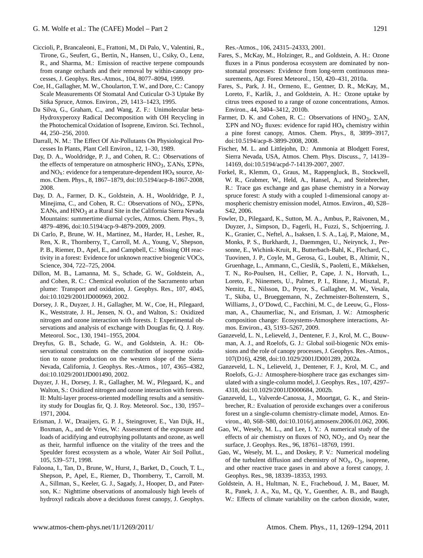- Ciccioli, P., Brancaleoni, E., Frattoni, M., Di Palo, V., Valentini, R., Tirone, G., Seufert, G., Bertin, N., Hansen, U., Csiky, O., Lenz, R., and Sharma, M.: Emission of reactive terpene compounds from orange orchards and their removal by within-canopy processes, J. Geophys. Res.-Atmos., 104, 8077–8094, 1999.
- Coe, H., Gallagher, M. W., Choularton, T. W., and Dore, C.: Canopy Scale Measurements Of Stomatal And Cuticular O-3 Uptake By Sitka Spruce, Atmos. Environ., 29, 1413–1423, 1995.
- Da Silva, G., Graham, C., and Wang, Z. F.: Unimolecular beta-Hydroxyperoxy Radical Decomposition with OH Recycling in the Photochemical Oxidation of Isoprene, Environ. Sci. Technol., 44, 250–256, 2010.
- Darrall, N. M.: The Effect Of Air-Pollutants On Physiological Processes In Plants, Plant Cell Environ., 12, 1–30, 1989.
- Day, D. A., Wooldridge, P. J., and Cohen, R. C.: Observations of the effects of temperature on atmospheric HNO<sub>3</sub>,  $\Sigma$ ANs,  $\Sigma$ PNs, and  $NO<sub>x</sub>$ : evidence for a temperature-dependent  $HO<sub>x</sub>$  source, Atmos. Chem. Phys., 8, 1867–1879, [doi:10.5194/acp-8-1867-2008,](http://dx.doi.org/10.5194/acp-8-1867-2008) 2008.
- Day, D. A., Farmer, D. K., Goldstein, A. H., Wooldridge, P. J., Minejima, C., and Cohen, R. C.: Observations of  $NO<sub>x</sub>$ ,  $\Sigma$ PNs,  $\Sigma$ ANs, and HNO<sub>3</sub> at a Rural Site in the California Sierra Nevada Mountains: summertime diurnal cycles, Atmos. Chem. Phys., 9, 4879–4896, [doi:10.5194/acp-9-4879-2009,](http://dx.doi.org/10.5194/acp-9-4879-2009) 2009.
- Di Carlo, P., Brune, W. H., Martinez, M., Harder, H., Lesher, R., Ren, X. R., Thornberry, T., Carroll, M. A., Young, V., Shepson, P. B., Riemer, D., Apel, E., and Campbell, C.: Missing OH reactivity in a forest: Evidence for unknown reactive biogenic VOCs, Science, 304, 722–725, 2004.
- Dillon, M. B., Lamanna, M. S., Schade, G. W., Goldstein, A., and Cohen, R. C.: Chemical evolution of the Sacramento urban plume: Transport and oxidation, J. Geophys. Res., 107, 4045, [doi:10.1029/2001JD000969,](http://dx.doi.org/10.1029/2001JD000969) 2002.
- Dorsey, J. R., Duyzer, J. H., Gallagher, M. W., Coe, H., Pilegaard, K., Weststrate, J. H., Jensen, N. O., and Walton, S.: Oxidized nitrogen and ozone interaction with forests. I: Experimental observations and analysis of exchange with Douglas fir, Q. J. Roy. Meteorol. Soc., 130, 1941–1955, 2004.
- Dreyfus, G. B., Schade, G. W., and Goldstein, A. H.: Observational constraints on the contribution of isoprene oxidation to ozone production on the western slope of the Sierra Nevada, California, J. Geophys. Res.-Atmos., 107, 4365–4382, [doi:10.1029/2001JD001490,](http://dx.doi.org/10.1029/2001JD001490) 2002.
- Duyzer, J. H., Dorsey, J. R., Gallagher, M. W., Pilegaard, K., and Walton, S.: Oxidized nitrogen and ozone interaction with forests. II: Multi-layer process-oriented modelling results and a sensitivity study for Douglas fir, Q. J. Roy. Meteorol. Soc., 130, 1957– 1971, 2004.
- Erisman, J. W., Draaijers, G. P. J., Steingrover, E., Van Dijk, H., Boxman, A., and de Vries, W.: Assessment of the exposure and loads of acidifying and eutrophying pollutants and ozone, as well as their, harmful influence on the vitality of the trees and the Speulder forest ecosystem as a whole, Water Air Soil Pollut., 105, 539–571, 1998.
- Faloona, I., Tan, D., Brune, W., Hurst, J., Barket, D., Couch, T. L., Shepson, P., Apel, E., Riemer, D., Thornberry, T., Carroll, M. A., Sillman, S., Keeler, G. J., Sagady, J., Hooper, D., and Paterson, K.: Nighttime observations of anomalously high levels of hydroxyl radicals above a deciduous forest canopy, J. Geophys.

Res.-Atmos., 106, 24315–24333, 2001.

- Fares, S., McKay, M., Holzinger, R., and Goldstein, A. H.: Ozone fluxes in a Pinus ponderosa ecosystem are dominated by nonstomatal processes: Evidence from long-term continuous measurements, Agr. Forest Meteorol., 150, 420–431, 2010a.
- Fares, S., Park, J. H., Ormeno, E., Gentner, D. R., McKay, M., Loreto, F., Karlik, J., and Goldstein, A. H.: Ozone uptake by citrus trees exposed to a range of ozone concentrations, Atmos. Environ., 44, 3404–3412, 2010b.
- Farmer, D. K. and Cohen, R. C.: Observations of  $HNO<sub>3</sub>$ ,  $\Sigma AN$ ,  $\Sigma$ PN and NO<sub>2</sub> fluxes: evidence for rapid HO<sub>x</sub> chemistry within a pine forest canopy, Atmos. Chem. Phys., 8, 3899–3917, [doi:10.5194/acp-8-3899-2008,](http://dx.doi.org/10.5194/acp-8-3899-2008) 2008.
- Fischer, M. L. and Littlejohn, D.: Ammonia at Blodgett Forest, Sierra Nevada, USA, Atmos. Chem. Phys. Discuss., 7, 14139– 14169, [doi:10.5194/acpd-7-14139-2007,](http://dx.doi.org/10.5194/acpd-7-14139-2007) 2007.
- Forkel, R., Klemm, O., Graus, M., Rappengluck, B., Stockwell, W. R., Grabmer, W., Held, A., Hansel, A., and Steinbrecher, R.: Trace gas exchange and gas phase chemistry in a Norway spruce forest: A study with a coupled 1-dimensional canopy atmospheric chemistry emission model, Atmos. Environ., 40, S28– S42, 2006.
- Fowler, D., Pilegaard, K., Sutton, M. A., Ambus, P., Raivonen, M., Duyzer, J., Simpson, D., Fagerli, H., Fuzzi, S., Schjoerring, J. K., Granier, C., Neftel, A., Isaksen, I. S. A., Laj, P., Maione, M., Monks, P. S., Burkhardt, J., Daemmgen, U., Neirynck, J., Personne, E., Wichink-Kruit, R., Butterbach-Bahl, K., Flechard, C., Tuovinen, J. P., Coyle, M., Gerosa, G., Loubet, B., Altimir, N., Gruenhage, L., Ammann, C., Cieslik, S., Paoletti, E., Mikkelsen, T. N., Ro-Poulsen, H., Cellier, P., Cape, J. N., Horvath, L., Loreto, F., Niinemets, U., Palmer, P. I., Rinne, J., Misztal, P., Nemitz, E., Nilsson, D., Pryor, S., Gallagher, M. W., Vesala, T., Skiba, U., Brueggemann, N., Zechmeister-Boltenstern, S., Williams, J., O'Dowd, C., Facchini, M. C., de Leeuw, G., Flossman, A., Chaumerliac, N., and Erisman, J. W.: Atmospheric composition change: Ecosystems-Atmosphere interactions, Atmos. Environ., 43, 5193–5267, 2009.
- Ganzeveld, L. N., Lelieveld, J., Dentener, F. J., Krol, M. C., Bouwman, A. J., and Roelofs, G. J.: Global soil-biogenic NOx emissions and the role of canopy processes, J. Geophys. Res.-Atmos., 107(D16), 4298, doi:10.1029/2001JD001289, 2002a.
- Ganzeveld, L. N., Lelieveld, J., Dentener, F. J., Krol, M. C., and Roelofs, G.-J.: Atmosphere-biosphere trace gas exchanges simulated with a single-column model, J. Geophys. Res., 107, 4297– 4318, [doi:10.1029/2001JD000684,](http://dx.doi.org/10.1029/2001JD000684) 2002b.
- Ganzeveld, L., Valverde-Canossa, J., Moortgat, G. K., and Steinbrecher, R.: Evaluation of peroxide exchanges over a coniferous forest un a single-column chemistry-climate model, Atmos. Environ., 40, S68–S80, [doi:10.1016/j.atmosenv.2006.01.062,](http://dx.doi.org/10.1016/j.atmosenv.2006.01.062) 2006.
- Gao, W., Wesely, M. L., and Lee, I. Y.: A numerical study of the effects of air chemistry on fluxes of NO,  $NO<sub>2</sub>$ , and  $O<sub>3</sub>$  near the surface, J. Geophys. Res., 96, 18761–18769, 1991.
- Gao, W., Wesely, M. L., and Doskey, P. V.: Numerical modeling of the turbulent diffusion and chemistry of  $NO<sub>x</sub>$ ,  $O<sub>3</sub>$ , isoprene, and other reactive trace gases in and above a forest canopy, J. Geophys. Res., 98, 18339–18353, 1993.
- Goldstein, A. H., Hultman, N. E., Fracheboud, J. M., Bauer, M. R., Panek, J. A., Xu, M., Qi, Y., Guenther, A. B., and Baugh, W.: Effects of climate variability on the carbon dioxide, water,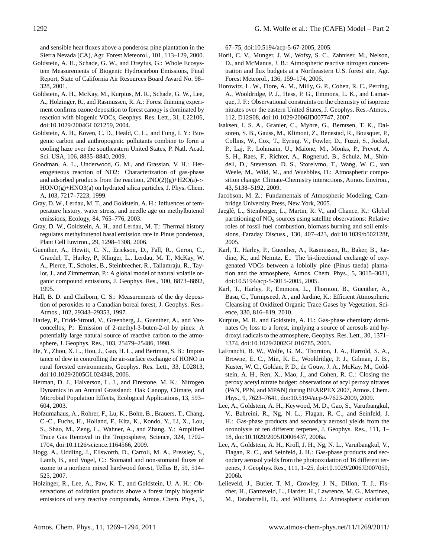and sensible heat fluxes above a ponderosa pine plantation in the Sierra Nevada (CA), Agr. Forest Meteorol., 101, 113–129, 2000.

- Goldstein, A. H., Schade, G. W., and Dreyfus, G.: Whole Ecosystem Measurements of Biogenic Hydrocarbon Emissions, Final Report, State of California Air Resources Board Award No. 98– 328, 2001.
- Goldstein, A. H., McKay, M., Kurpius, M. R., Schade, G. W., Lee, A., Holzinger, R., and Rasmussen, R. A.: Forest thinning experiment confirms ozone deposition to forest canopy is dominated by reaction with biogenic VOCs, Geophys. Res. Lett., 31, L22106, [doi:10.1029/2004GL021259,](http://dx.doi.org/10.1029/2004GL021259) 2004.
- Goldstein, A. H., Koven, C. D., Heald, C. L., and Fung, I. Y.: Biogenic carbon and anthropogenic pollutants combine to form a cooling haze over the southeastern United States, P. Natl. Acad. Sci. USA, 106, 8835–8840, 2009.
- Goodman, A. L., Underwood, G. M., and Grassian, V. H.: Heterogeneous reaction of NO2: Characterization of gas-phase and adsorbed products from the reaction,  $2NO(2)(g) + H2O(a)$ ->  $HONO(g) + HNO3(a)$  on hydrated silica particles, J. Phys. Chem. A, 103, 7217–7223, 1999.
- Gray, D. W., Lerdau, M. T., and Goldstein, A. H.: Influences of temperature history, water stress, and needle age on methylbutenol emissions, Ecology, 84, 765–776, 2003.
- Gray, D. W., Goldstein, A. H., and Lerdau, M. T.: Thermal history regulates methylbutenol basal emission rate in Pinus ponderosa, Plant Cell Environ., 29, 1298–1308, 2006.
- Guenther, A., Hewitt, C. N., Erickson, D., Fall, R., Geron, C., Graedel, T., Harley, P., Klinger, L., Lerdau, M. T., McKay, W. A., Pierce, T., Scholes, B., Steinbrecher, R., Tallamraju, R., Taylor, J., and Zimmerman, P.: A global model of natural volatile organic compound emissions, J. Geophys. Res., 100, 8873–8892, 1995.
- Hall, B. D. and Claiborn, C. S.: Measurements of the dry deposition of peroxides to a Canadian boreal forest, J. Geophys. Res.- Atmos., 102, 29343–29353, 1997.
- Harley, P., Fridd-Stroud, V., Greenberg, J., Guenther, A., and Vasconcellos, P.: Emission of 2-methyl-3-buten-2-ol by pines: A potentially large natural source of reactive carbon to the atmosphere, J. Geophys. Res., 103, 25479–25486, 1998.
- He, Y., Zhou, X. L., Hou, J., Gao, H. L., and Bertman, S. B.: Importance of dew in controlling the air-surface exchange of HONO in rural forested environments, Geophys. Res. Lett., 33, L02813, doi:10.1029/2005GL024348, 2006.
- Herman, D. J., Halverson, L. J., and Firestone, M. K.: Nitrogen Dynamics in an Annual Grassland: Oak Canopy, Climate, and Microbial Population Effects, Ecological Applications, 13, 593– 604, 2003.
- Hofzumahaus, A., Rohrer, F., Lu, K., Bohn, B., Brauers, T., Chang, C.-C., Fuchs, H., Holland, F., Kita, K., Kondo, Y., Li, X., Lou, S., Shao, M., Zeng, L., Wahner, A., and Zhang, Y.: Amplified Trace Gas Removal in the Troposphere, Science, 324, 1702– 1704, [doi:10.1126/science.1164566,](http://dx.doi.org/10.1126/science.1164566) 2009.
- Hogg, A., Uddling, J., Ellsworth, D., Carroll, M. A., Pressley, S., Lamb, B., and Vogel, C.: Stomatal and non-stomatal fluxes of ozone to a northern mixed hardwood forest, Tellus B, 59, 514– 525, 2007.
- Holzinger, R., Lee, A., Paw, K. T., and Goldstein, U. A. H.: Observations of oxidation products above a forest imply biogenic emissions of very reactive compounds, Atmos. Chem. Phys., 5,

67–75, [doi:10.5194/acp-5-67-2005,](http://dx.doi.org/10.5194/acp-5-67-2005) 2005.

- Horii, C. V., Munger, J. W., Wofsy, S. C., Zahniser, M., Nelson, D., and McManus, J. B.: Atmospheric reactive nitrogen concentration and flux budgets at a Northeastern U.S. forest site, Agr. Forest Meteorol., 136, 159–174, 2006.
- Horowitz, L. W., Fiore, A. M., Milly, G. P., Cohen, R. C., Perring, A., Wooldridge, P. J., Hess, P. G., Emmons, L. K., and Lamarque, J. F.: Observational constraints on the chemistry of isoprene nitrates over the eastern United States, J. Geophys. Res.-Atmos., 112, D12S08, doi:10.1029/2006JD007747, 2007.
- Isaksen, I. S. A., Granier, C., Myhre, G., Berntsen, T. K., Dalsoren, S. B., Gauss, M., Klimont, Z., Benestad, R., Bousquet, P., Collins, W., Cox, T., Eyring, V., Fowler, D., Fuzzi, S., Jockel, P., Laj, P., Lohmann, U., Maione, M., Monks, P., Prevot, A. S. H., Raes, F., Richter, A., Rognerud, B., Schulz, M., Shindell, D., Stevenson, D. S., Storelvmo, T., Wang, W. C., van Weele, M., Wild, M., and Wuebbles, D.: Atmospheric composition change: Climate-Chemistry interactions, Atmos. Environ., 43, 5138–5192, 2009.
- Jacobson, M. Z.: Fundamentals of Atmospheric Modeling, Cambridge University Press, New York, 2005.
- Jaeglé, L., Steinberger, L., Martin, R. V., and Chance, K.: Global partitioning of  $NO<sub>x</sub>$  sources using satellite observations: Relative roles of fossil fuel combustion, biomass burning and soil emissions, Faraday Discuss., 130, 407–423, [doi:10.1039/b502128f,](http://dx.doi.org/10.1039/b502128f) 2005.
- Karl, T., Harley, P., Guenther, A., Rasmussen, R., Baker, B., Jardine, K., and Nemitz, E.: The bi-directional exchange of oxygenated VOCs between a loblolly pine (Pinus taeda) plantation and the atmosphere, Atmos. Chem. Phys., 5, 3015–3031, [doi:10.5194/acp-5-3015-2005,](http://dx.doi.org/10.5194/acp-5-3015-2005) 2005.
- Karl, T., Harley, P., Emmons, L., Thornton, B., Guenther, A., Basu, C., Turnipseed, A., and Jardine, K.: Efficient Atmospheric Cleansing of Oxidized Organic Trace Gases by Vegetation, Science, 330, 816–819, 2010.
- Kurpius, M. R. and Goldstein, A. H.: Gas-phase chemistry dominates  $O_3$  loss to a forest, implying a source of aerosols and hydroxyl radicals to the atmosphere, Geophys. Res. Lett., 30, 1371– 1374, [doi:10.1029/2002GL016785,](http://dx.doi.org/10.1029/2002GL016785) 2003.
- LaFranchi, B. W., Wolfe, G. M., Thornton, J. A., Harrold, S. A., Browne, E. C., Min, K. E., Wooldridge, P. J., Gilman, J. B., Kuster, W. C., Goldan, P. D., de Gouw, J. A., McKay, M., Goldstein, A. H., Ren, X., Mao, J., and Cohen, R. C.: Closing the peroxy acetyl nitrate budget: observations of acyl peroxy nitrates (PAN, PPN, and MPAN) during BEARPEX 2007, Atmos. Chem. Phys., 9, 7623–7641, [doi:10.5194/acp-9-7623-2009,](http://dx.doi.org/10.5194/acp-9-7623-2009) 2009.
- Lee, A., Goldstein, A. H., Keywood, M. D., Gao, S., Varutbangkul, V., Bahreini, R., Ng, N. L., Flagan, R. C., and Seinfeld, J. H.: Gas-phase products and secondary aerosol yields from the ozonolysis of ten different terpenes, J. Geophys. Res., 111, 1– 18, [doi:10.1029/2005JD006437,](http://dx.doi.org/10.1029/2005JD006437) 2006a.
- Lee, A., Goldstein, A. H., Kroll, J. H., Ng, N. L., Varutbangkul, V., Flagan, R. C., and Seinfeld, J. H.: Gas-phase products and secondary aerosol yields from the photooxidation of 16 different terpenes, J. Geophys. Res., 111, 1–25, [doi:10.1029/2006JD007050,](http://dx.doi.org/10.1029/2006JD007050) 2006b.
- Lelieveld, J., Butler, T. M., Crowley, J. N., Dillon, T. J., Fischer, H., Ganzeveld, L., Harder, H., Lawrence, M. G., Martinez, M., Taraborrelli, D., and Williams, J.: Atmospheric oxidation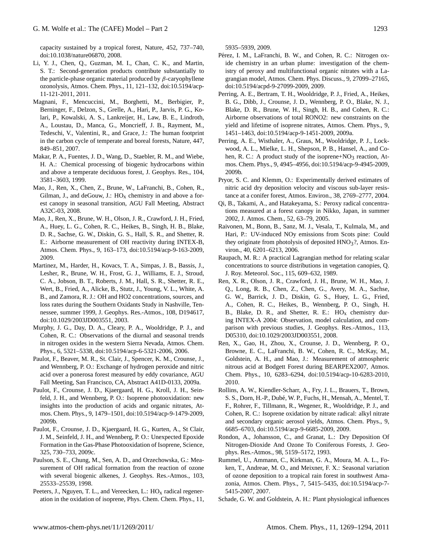capacity sustained by a tropical forest, Nature, 452, 737–740, [doi:10.1038/nature06870,](http://dx.doi.org/10.1038/nature06870) 2008.

- Li, Y. J., Chen, Q., Guzman, M. I., Chan, C. K., and Martin, S. T.: Second-generation products contribute substantially to the particle-phase organic material produced by  $β$ -caryophyllene ozonolysis, Atmos. Chem. Phys., 11, 121–132, [doi:10.5194/acp-](http://dx.doi.org/10.5194/acp-11-121-2011)[11-121-2011,](http://dx.doi.org/10.5194/acp-11-121-2011) 2011.
- Magnani, F., Mencuccini, M., Borghetti, M., Berbigier, P., Berninger, F., Delzon, S., Grelle, A., Hari, P., Jarvis, P. G., Kolari, P., Kowalski, A. S., Lankreijer, H., Law, B. E., Lindroth, A., Loustau, D., Manca, G., Moncrieff, J. B., Rayment, M., Tedeschi, V., Valentini, R., and Grace, J.: The human footprint in the carbon cycle of temperate and boreal forests, Nature, 447, 849–851, 2007.
- Makar, P. A., Fuentes, J. D., Wang, D., Staebler, R. M., and Wiebe, H. A.: Chemical processing of biogenic hydrocarbons within and above a temperate deciduous forest, J. Geophys. Res., 104, 3581–3603, 1999.
- Mao, J., Ren, X., Chen, Z., Brune, W., LaFranchi, B., Cohen, R., Gilman, J., and deGouw, J.:  $HO<sub>x</sub>$  chemistry in and above a forest canopy in seasonal transition, AGU Fall Meeting, Abstract A32C-03, 2008.
- Mao, J., Ren, X., Brune, W. H., Olson, J. R., Crawford, J. H., Fried, A., Huey, L. G., Cohen, R. C., Heikes, B., Singh, H. B., Blake, D. R., Sachse, G. W., Diskin, G. S., Hall, S. R., and Shetter, R. E.: Airborne measurement of OH reactivity during INTEX-B, Atmos. Chem. Phys., 9, 163–173, [doi:10.5194/acp-9-163-2009,](http://dx.doi.org/10.5194/acp-9-163-2009) 2009.
- Martinez, M., Harder, H., Kovacs, T. A., Simpas, J. B., Bassis, J., Lesher, R., Brune, W. H., Frost, G. J., Williams, E. J., Stroud, C. A., Jobson, B. T., Roberts, J. M., Hall, S. R., Shetter, R. E., Wert, B., Fried, A., Alicke, B., Stutz, J., Young, V. L., White, A. B., and Zamora, R. J.: OH and HO2 concentrations, sources, and loss rates during the Southern Oxidants Study in Nashville, Tennessee, summer 1999, J. Geophys. Res.-Atmos., 108, D194617, doi:10.1029/2003JD003551, 2003.
- Murphy, J. G., Day, D. A., Cleary, P. A., Wooldridge, P. J., and Cohen, R. C.: Observations of the diurnal and seasonal trends in nitrogen oxides in the western Sierra Nevada, Atmos. Chem. Phys., 6, 5321–5338, [doi:10.5194/acp-6-5321-2006,](http://dx.doi.org/10.5194/acp-6-5321-2006) 2006.
- Paulot, F., Beaver, M. R., St. Clair, J., Spencer, K. M., Crounse, J., and Wennberg, P. O.: Exchange of hydrogen peroxide and nitric acid over a ponerosa forest measured by eddy covariance, AGU Fall Meeting, San Francisco, CA, Abstract A41D-0133, 2009a.
- Paulot, F., Crounse, J. D., Kjaergaard, H. G., Kroll, J. H., Seinfeld, J. H., and Wennberg, P. O.: Isoprene photooxidation: new insights into the production of acids and organic nitrates, Atmos. Chem. Phys., 9, 1479–1501, [doi:10.5194/acp-9-1479-2009,](http://dx.doi.org/10.5194/acp-9-1479-2009) 2009b.
- Paulot, F., Crounse, J. D., Kjaergaard, H. G., Kurten, A., St Clair, J. M., Seinfeld, J. H., and Wennberg, P. O.: Unexpected Epoxide Formation in the Gas-Phase Photooxidation of Isoprene, Science, 325, 730–733, 2009c.
- Paulson, S. E., Chung, M., Sen, A. D., and Orzechowska, G.: Measurement of OH radical formation from the reaction of ozone with several biogenic alkenes, J. Geophys. Res.-Atmos., 103, 25533–25539, 1998.
- Peeters, J., Nguyen, T. L., and Vereecken, L.: HO<sub>x</sub> radical regeneration in the oxidation of isoprene, Phys. Chem. Chem. Phys., 11,

5935–5939, 2009.

- Pérez, I. M., LaFranchi, B. W., and Cohen, R. C.: Nitrogen oxide chemistry in an urban plume: investigation of the chemistry of peroxy and multifunctional organic nitrates with a Lagrangian model, Atmos. Chem. Phys. Discuss., 9, 27099–27165, [doi:10.5194/acpd-9-27099-2009,](http://dx.doi.org/10.5194/acpd-9-27099-2009) 2009.
- Perring, A. E., Bertram, T. H., Wooldridge, P. J., Fried, A., Heikes, B. G., Dibb, J., Crounse, J. D., Wennberg, P. O., Blake, N. J., Blake, D. R., Brune, W. H., Singh, H. B., and Cohen, R. C.: Airborne observations of total RONO2: new constraints on the yield and lifetime of isoprene nitrates, Atmos. Chem. Phys., 9, 1451–1463, [doi:10.5194/acp-9-1451-2009,](http://dx.doi.org/10.5194/acp-9-1451-2009) 2009a.
- Perring, A. E., Wisthaler, A., Graus, M., Wooldridge, P. J., Lockwood, A. L., Mielke, L. H., Shepson, P. B., Hansel, A., and Cohen, R. C.: A product study of the isoprene+ $NO<sub>3</sub>$  reaction, Atmos. Chem. Phys., 9, 4945–4956, [doi:10.5194/acp-9-4945-2009,](http://dx.doi.org/10.5194/acp-9-4945-2009) 2009b.
- Pryor, S. C. and Klemm, O.: Experimentally derived estimates of nitric acid dry deposition velocity and viscous sub-layer resistance at a conifer forest, Atmos. Environ., 38, 2769–2777, 2004.
- Qi, B., Takami, A., and Hatakeyama, S.: Peroxy radical concentrations measured at a forest canopy in Nikko, Japan, in summer 2002, J. Atmos. Chem., 52, 63–79, 2005.
- Raivonen, M., Bonn, B., Sanz, M. J., Vesala, T., Kulmala, M., and Hari, P.: UV-induced NOy emissions from Scots pine: Could they originate from photolysis of deposited  $HNO<sub>3</sub>$ ?, Atmos. Environ., 40, 6201–6213, 2006.
- Raupach, M. R.: A practical Lagrangian method for relating scalar concentrations to source distributions in vegetation canopies, Q. J. Roy. Meteorol. Soc., 115, 609–632, 1989.
- Ren, X. R., Olson, J. R., Crawford, J. H., Brune, W. H., Mao, J. Q., Long, R. B., Chen, Z., Chen, G., Avery, M. A., Sachse, G. W., Barrick, J. D., Diskin, G. S., Huey, L. G., Fried, A., Cohen, R. C., Heikes, B., Wennberg, P. O., Singh, H. B., Blake, D. R., and Shetter, R. E.:  $HO<sub>x</sub>$  chemistry during INTEX-A 2004: Observation, model calculation, and comparison with previous studies, J. Geophys. Res.-Atmos., 113, D05310, doi:10.1029/2003JD003551, 2008.
- Ren, X., Gao, H., Zhou, X., Crounse, J. D., Wennberg, P. O., Browne, E. C., LaFranchi, B. W., Cohen, R. C., McKay, M., Goldstein, A. H., and Mao, J.: Measurement of atmospheric nitrous acid at Bodgett Forest during BEARPEX2007, Atmos. Chem. Phys., 10, 6283–6294, [doi:10.5194/acp-10-6283-2010,](http://dx.doi.org/10.5194/acp-10-6283-2010) 2010.
- Rollins, A. W., Kiendler-Scharr, A., Fry, J. L., Brauers, T., Brown, S. S., Dorn, H.-P., Dubé, W. P., Fuchs, H., Mensah, A., Mentel, T. F., Rohrer, F., Tillmann, R., Wegener, R., Wooldridge, P. J., and Cohen, R. C.: Isoprene oxidation by nitrate radical: alkyl nitrate and secondary organic aerosol yields, Atmos. Chem. Phys., 9, 6685–6703, [doi:10.5194/acp-9-6685-2009,](http://dx.doi.org/10.5194/acp-9-6685-2009) 2009.
- Rondon, A., Johansson, C., and Granat, L.: Dry Deposition Of Nitrogen-Dioxide And Ozone To Coniferous Forests, J. Geophys. Res.-Atmos., 98, 5159–5172, 1993.
- Rummel, U., Ammann, C., Kirkman, G. A., Moura, M. A. L., Foken, T., Andreae, M. O., and Meixner, F. X.: Seasonal variation of ozone deposition to a tropical rain forest in southwest Amazonia, Atmos. Chem. Phys., 7, 5415–5435, [doi:10.5194/acp-7-](http://dx.doi.org/10.5194/acp-7-5415-2007) [5415-2007,](http://dx.doi.org/10.5194/acp-7-5415-2007) 2007.
- Schade, G. W. and Goldstein, A. H.: Plant physiological influences